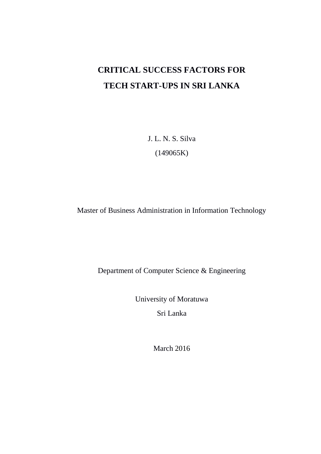# **CRITICAL SUCCESS FACTORS FOR TECH START-UPS IN SRI LANKA**

J. L. N. S. Silva (149065K)

Master of Business Administration in Information Technology

Department of Computer Science & Engineering

University of Moratuwa Sri Lanka

March 2016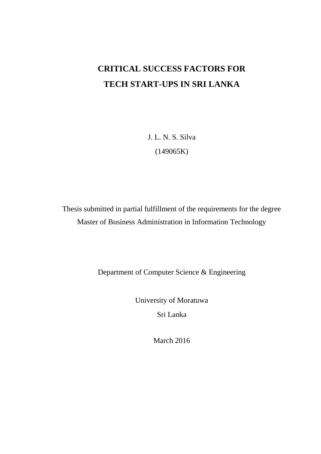# **CRITICAL SUCCESS FACTORS FOR TECH START-UPS IN SRI LANKA**

J. L. N. S. Silva (149065K)

Thesis submitted in partial fulfillment of the requirements for the degree Master of Business Administration in Information Technology

Department of Computer Science & Engineering

University of Moratuwa

Sri Lanka

March 2016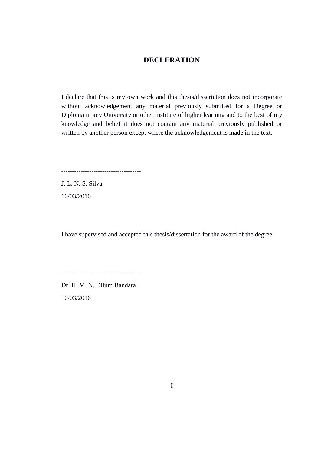## **DECLERATION**

<span id="page-2-0"></span>I declare that this is my own work and this thesis/dissertation does not incorporate without acknowledgement any material previously submitted for a Degree or Diploma in any University or other institute of higher learning and to the best of my knowledge and belief it does not contain any material previously published or written by another person except where the acknowledgement is made in the text.

-------------------------------------

J. L. N. S. Silva 10/03/2016

I have supervised and accepted this thesis/dissertation for the award of the degree.

-------------------------------------

Dr. H. M. N. Dilum Bandara 10/03/2016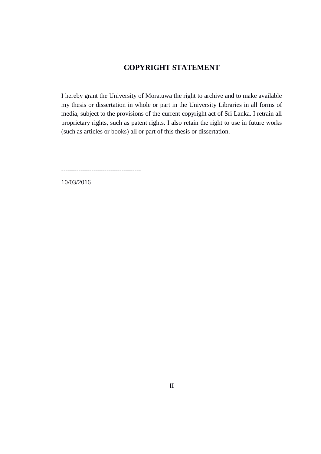## **COPYRIGHT STATEMENT**

<span id="page-3-0"></span>I hereby grant the University of Moratuwa the right to archive and to make available my thesis or dissertation in whole or part in the University Libraries in all forms of media, subject to the provisions of the current copyright act of Sri Lanka. I retrain all proprietary rights, such as patent rights. I also retain the right to use in future works (such as articles or books) all or part of this thesis or dissertation.

-------------------------------------

10/03/2016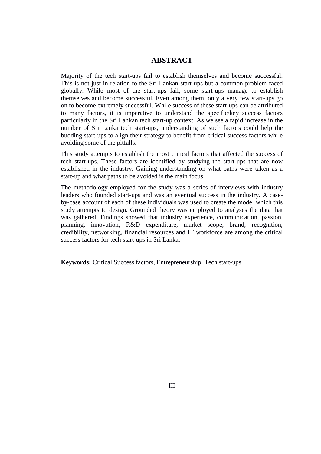### **ABSTRACT**

<span id="page-4-0"></span>Majority of the tech start-ups fail to establish themselves and become successful. This is not just in relation to the Sri Lankan start-ups but a common problem faced globally. While most of the start-ups fail, some start-ups manage to establish themselves and become successful. Even among them, only a very few start-ups go on to become extremely successful. While success of these start-ups can be attributed to many factors, it is imperative to understand the specific/key success factors particularly in the Sri Lankan tech start-up context. As we see a rapid increase in the number of Sri Lanka tech start-ups, understanding of such factors could help the budding start-ups to align their strategy to benefit from critical success factors while avoiding some of the pitfalls.

This study attempts to establish the most critical factors that affected the success of tech start-ups. These factors are identified by studying the start-ups that are now established in the industry. Gaining understanding on what paths were taken as a start-up and what paths to be avoided is the main focus.

The methodology employed for the study was a series of interviews with industry leaders who founded start-ups and was an eventual success in the industry. A caseby-case account of each of these individuals was used to create the model which this study attempts to design. Grounded theory was employed to analyses the data that was gathered. Findings showed that industry experience, communication, passion, planning, innovation, R&D expenditure, market scope, brand, recognition, credibility, networking, financial resources and IT workforce are among the critical success factors for tech start-ups in Sri Lanka.

**Keywords:** Critical Success factors, Entrepreneurship, Tech start-ups.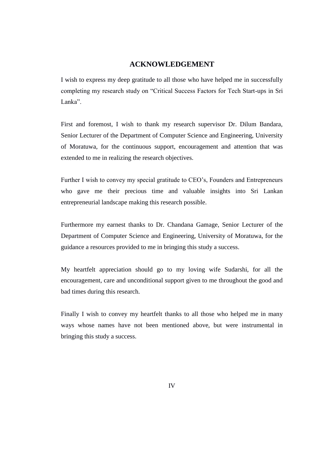### **ACKNOWLEDGEMENT**

<span id="page-5-0"></span>I wish to express my deep gratitude to all those who have helped me in successfully completing my research study on "Critical Success Factors for Tech Start-ups in Sri Lanka"

First and foremost, I wish to thank my research supervisor Dr. Dilum Bandara, Senior Lecturer of the Department of Computer Science and Engineering, University of Moratuwa, for the continuous support, encouragement and attention that was extended to me in realizing the research objectives.

Further I wish to convey my special gratitude to CEO"s, Founders and Entrepreneurs who gave me their precious time and valuable insights into Sri Lankan entrepreneurial landscape making this research possible.

Furthermore my earnest thanks to Dr. Chandana Gamage, Senior Lecturer of the Department of Computer Science and Engineering, University of Moratuwa, for the guidance a resources provided to me in bringing this study a success.

My heartfelt appreciation should go to my loving wife Sudarshi, for all the encouragement, care and unconditional support given to me throughout the good and bad times during this research.

Finally I wish to convey my heartfelt thanks to all those who helped me in many ways whose names have not been mentioned above, but were instrumental in bringing this study a success.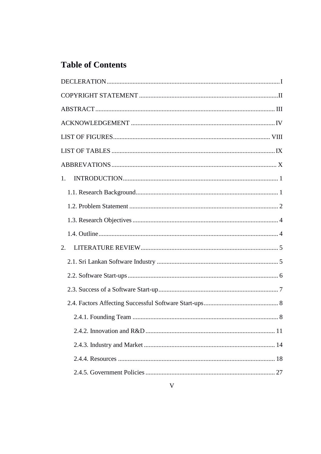# **Table of Contents**

| 1. |  |  |  |
|----|--|--|--|
|    |  |  |  |
|    |  |  |  |
|    |  |  |  |
|    |  |  |  |
| 2. |  |  |  |
|    |  |  |  |
|    |  |  |  |
|    |  |  |  |
|    |  |  |  |
|    |  |  |  |
|    |  |  |  |
|    |  |  |  |
|    |  |  |  |
|    |  |  |  |
|    |  |  |  |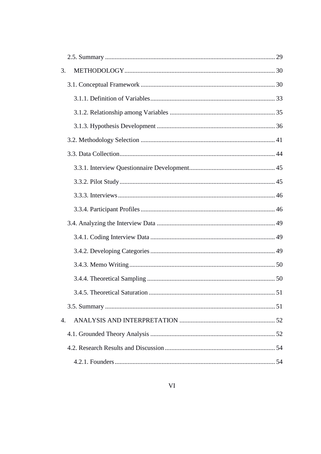| 3. |  |
|----|--|
|    |  |
|    |  |
|    |  |
|    |  |
|    |  |
|    |  |
|    |  |
|    |  |
|    |  |
|    |  |
|    |  |
|    |  |
|    |  |
|    |  |
|    |  |
|    |  |
|    |  |
| 4. |  |
|    |  |
|    |  |
|    |  |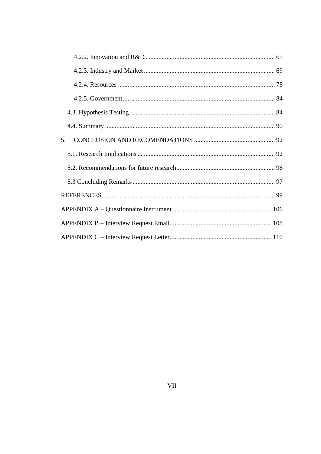| 5. |
|----|
|    |
|    |
|    |
|    |
|    |
|    |
|    |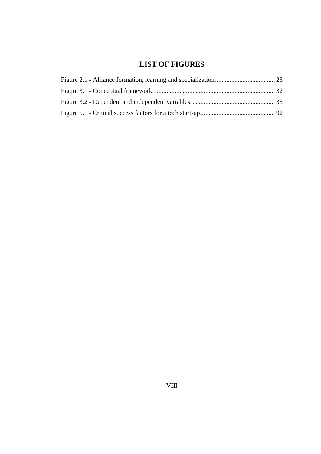## **LIST OF FIGURES**

<span id="page-9-0"></span>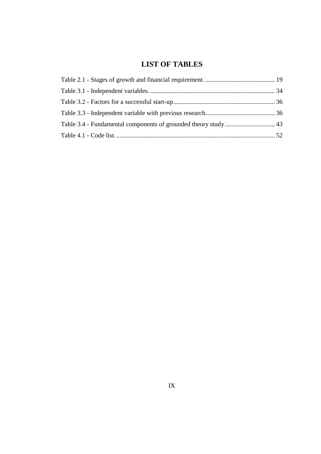## **LIST OF TABLES**

<span id="page-10-0"></span>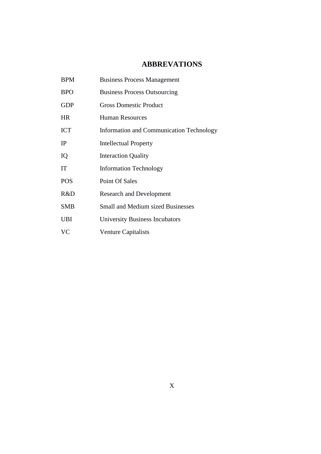## **ABBREVATIONS**

<span id="page-11-0"></span>BPM Business Process Management BPO Business Process Outsourcing GDP Gross Domestic Product HR Human Resources ICT Information and Communication Technology IP Intellectual Property IQ Interaction Quality IT Information Technology POS Point Of Sales R&D Research and Development SMB Small and Medium sized Businesses UBI University Business Incubators VC Venture Capitalists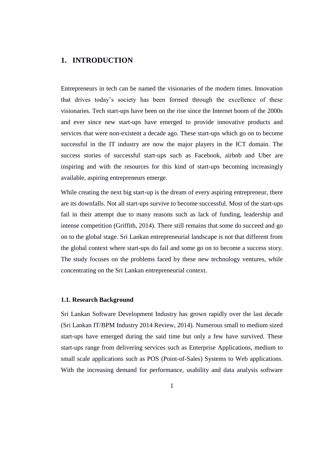## <span id="page-12-0"></span>**1. INTRODUCTION**

Entrepreneurs in tech can be named the visionaries of the modern times. Innovation that drives today"s society has been formed through the excellence of these visionaries. Tech start-ups have been on the rise since the Internet boom of the 2000s and ever since new start-ups have emerged to provide innovative products and services that were non-existent a decade ago. These start-ups which go on to become successful in the IT industry are now the major players in the ICT domain. The success stories of successful start-ups such as Facebook, airbnb and Uber are inspiring and with the resources for this kind of start-ups becoming increasingly available, aspiring entrepreneurs emerge.

While creating the next big start-up is the dream of every aspiring entrepreneur, there are its downfalls. Not all start-ups survive to become successful. Most of the start-ups fail in their attempt due to many reasons such as lack of funding, leadership and intense competition (Griffith, 2014). There still remains that some do succeed and go on to the global stage. Sri Lankan entrepreneurial landscape is not that different from the global context where start-ups do fail and some go on to become a success story. The study focuses on the problems faced by these new technology ventures, while concentrating on the Sri Lankan entrepreneurial context.

#### <span id="page-12-1"></span>**1.1. Research Background**

Sri Lankan Software Development Industry has grown rapidly over the last decade (Sri Lankan IT/BPM Industry 2014 Review, 2014). Numerous small to medium sized start-ups have emerged during the said time but only a few have survived. These start-ups range from delivering services such as Enterprise Applications, medium to small scale applications such as POS (Point-of-Sales) Systems to Web applications. With the increasing demand for performance, usability and data analysis software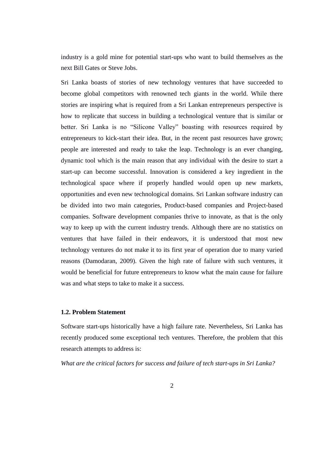industry is a gold mine for potential start-ups who want to build themselves as the next Bill Gates or Steve Jobs.

Sri Lanka boasts of stories of new technology ventures that have succeeded to become global competitors with renowned tech giants in the world. While there stories are inspiring what is required from a Sri Lankan entrepreneurs perspective is how to replicate that success in building a technological venture that is similar or better. Sri Lanka is no "Silicone Valley" boasting with resources required by entrepreneurs to kick-start their idea. But, in the recent past resources have grown; people are interested and ready to take the leap. Technology is an ever changing, dynamic tool which is the main reason that any individual with the desire to start a start-up can become successful. Innovation is considered a key ingredient in the technological space where if properly handled would open up new markets, opportunities and even new technological domains. Sri Lankan software industry can be divided into two main categories, Product-based companies and Project-based companies. Software development companies thrive to innovate, as that is the only way to keep up with the current industry trends. Although there are no statistics on ventures that have failed in their endeavors, it is understood that most new technology ventures do not make it to its first year of operation due to many varied reasons (Damodaran, 2009). Given the high rate of failure with such ventures, it would be beneficial for future entrepreneurs to know what the main cause for failure was and what steps to take to make it a success.

#### <span id="page-13-0"></span>**1.2. Problem Statement**

Software start-ups historically have a high failure rate. Nevertheless, Sri Lanka has recently produced some exceptional tech ventures. Therefore, the problem that this research attempts to address is:

*What are the critical factors for success and failure of tech start-ups in Sri Lanka?*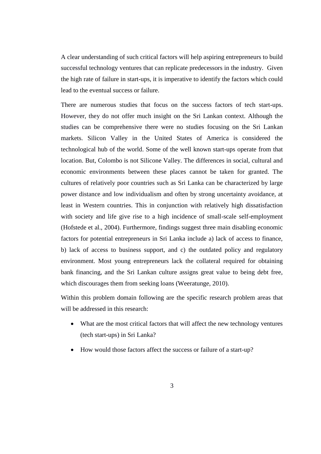A clear understanding of such critical factors will help aspiring entrepreneurs to build successful technology ventures that can replicate predecessors in the industry. Given the high rate of failure in start-ups, it is imperative to identify the factors which could lead to the eventual success or failure.

There are numerous studies that focus on the success factors of tech start-ups. However, they do not offer much insight on the Sri Lankan context. Although the studies can be comprehensive there were no studies focusing on the Sri Lankan markets. Silicon Valley in the United States of America is considered the technological hub of the world. Some of the well known start-ups operate from that location. But, Colombo is not Silicone Valley. The differences in social, cultural and economic environments between these places cannot be taken for granted. The cultures of relatively poor countries such as Sri Lanka can be characterized by large power distance and low individualism and often by strong uncertainty avoidance, at least in Western countries. This in conjunction with relatively high dissatisfaction with society and life give rise to a high incidence of small-scale self-employment (Hofstede et al., 2004). Furthermore, findings suggest three main disabling economic factors for potential entrepreneurs in Sri Lanka include a) lack of access to finance, b) lack of access to business support, and c) the outdated policy and regulatory environment. Most young entrepreneurs lack the collateral required for obtaining bank financing, and the Sri Lankan culture assigns great value to being debt free, which discourages them from seeking loans (Weeratunge, 2010).

Within this problem domain following are the specific research problem areas that will be addressed in this research:

- What are the most critical factors that will affect the new technology ventures (tech start-ups) in Sri Lanka?
- How would those factors affect the success or failure of a start-up?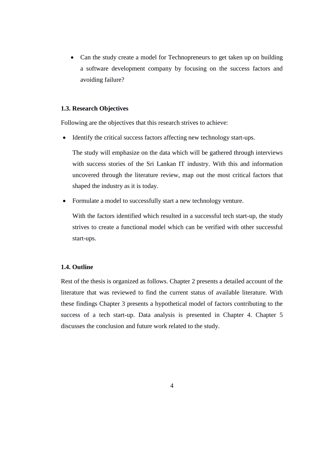• Can the study create a model for Technopreneurs to get taken up on building a software development company by focusing on the success factors and avoiding failure?

#### <span id="page-15-0"></span>**1.3. Research Objectives**

Following are the objectives that this research strives to achieve:

• Identify the critical success factors affecting new technology start-ups.

The study will emphasize on the data which will be gathered through interviews with success stories of the Sri Lankan IT industry. With this and information uncovered through the literature review, map out the most critical factors that shaped the industry as it is today.

Formulate a model to successfully start a new technology venture.

With the factors identified which resulted in a successful tech start-up, the study strives to create a functional model which can be verified with other successful start-ups.

#### <span id="page-15-1"></span>**1.4. Outline**

Rest of the thesis is organized as follows. Chapter 2 presents a detailed account of the literature that was reviewed to find the current status of available literature. With these findings Chapter 3 presents a hypothetical model of factors contributing to the success of a tech start-up. Data analysis is presented in Chapter 4. Chapter 5 discusses the conclusion and future work related to the study.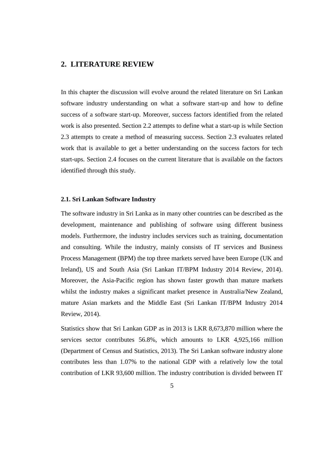### <span id="page-16-0"></span>**2. LITERATURE REVIEW**

In this chapter the discussion will evolve around the related literature on Sri Lankan software industry understanding on what a software start-up and how to define success of a software start-up. Moreover, success factors identified from the related work is also presented. Section 2.2 attempts to define what a start-up is while Section 2.3 attempts to create a method of measuring success. Section 2.3 evaluates related work that is available to get a better understanding on the success factors for tech start-ups. Section 2.4 focuses on the current literature that is available on the factors identified through this study.

#### <span id="page-16-1"></span>**2.1. Sri Lankan Software Industry**

The software industry in Sri Lanka as in many other countries can be described as the development, maintenance and publishing of software using different business models. Furthermore, the industry includes services such as training, documentation and consulting. While the industry, mainly consists of IT services and Business Process Management (BPM) the top three markets served have been Europe (UK and Ireland), US and South Asia (Sri Lankan IT/BPM Industry 2014 Review, 2014). Moreover, the Asia-Pacific region has shown faster growth than mature markets whilst the industry makes a significant market presence in Australia/New Zealand, mature Asian markets and the Middle East (Sri Lankan IT/BPM Industry 2014 Review, 2014).

Statistics show that Sri Lankan GDP as in 2013 is LKR 8,673,870 million where the services sector contributes 56.8%, which amounts to LKR 4,925,166 million (Department of Census and Statistics, 2013). The Sri Lankan software industry alone contributes less than 1.07% to the national GDP with a relatively low the total contribution of LKR 93,600 million. The industry contribution is divided between IT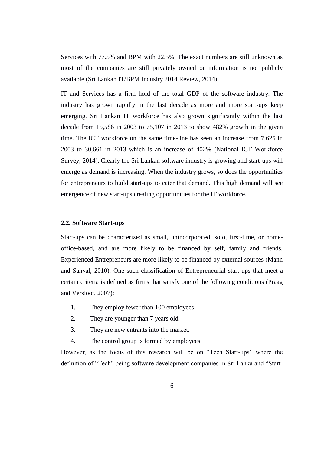Services with 77.5% and BPM with 22.5%. The exact numbers are still unknown as most of the companies are still privately owned or information is not publicly available (Sri Lankan IT/BPM Industry 2014 Review, 2014).

IT and Services has a firm hold of the total GDP of the software industry. The industry has grown rapidly in the last decade as more and more start-ups keep emerging. Sri Lankan IT workforce has also grown significantly within the last decade from 15,586 in 2003 to 75,107 in 2013 to show 482% growth in the given time. The ICT workforce on the same time-line has seen an increase from 7,625 in 2003 to 30,661 in 2013 which is an increase of 402% (National ICT Workforce Survey, 2014). Clearly the Sri Lankan software industry is growing and start-ups will emerge as demand is increasing. When the industry grows, so does the opportunities for entrepreneurs to build start-ups to cater that demand. This high demand will see emergence of new start-ups creating opportunities for the IT workforce.

#### <span id="page-17-0"></span>**2.2. Software Start-ups**

Start-ups can be characterized as small, unincorporated, solo, first-time, or homeoffice-based, and are more likely to be financed by self, family and friends. Experienced Entrepreneurs are more likely to be financed by external sources (Mann and Sanyal, 2010). One such classification of Entrepreneurial start-ups that meet a certain criteria is defined as firms that satisfy one of the following conditions (Praag and Versloot, 2007):

- 1. They employ fewer than 100 employees
- 2. They are younger than 7 years old
- 3. They are new entrants into the market.
- 4. The control group is formed by employees

However, as the focus of this research will be on "Tech Start-ups" where the definition of "Tech" being software development companies in Sri Lanka and "Start-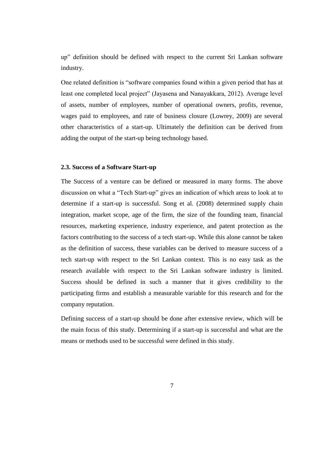up" definition should be defined with respect to the current Sri Lankan software industry.

One related definition is "software companies found within a given period that has at least one completed local project" (Jayasena and Nanayakkara, 2012). Average level of assets, number of employees, number of operational owners, profits, revenue, wages paid to employees, and rate of business closure (Lowrey, 2009) are several other characteristics of a start-up. Ultimately the definition can be derived from adding the output of the start-up being technology based.

#### <span id="page-18-0"></span>**2.3. Success of a Software Start-up**

The Success of a venture can be defined or measured in many forms. The above discussion on what a "Tech Start-up" gives an indication of which areas to look at to determine if a start-up is successful. Song et al. (2008) determined supply chain integration, market scope, age of the firm, the size of the founding team, financial resources, marketing experience, industry experience, and patent protection as the factors contributing to the success of a tech start-up. While this alone cannot be taken as the definition of success, these variables can be derived to measure success of a tech start-up with respect to the Sri Lankan context. This is no easy task as the research available with respect to the Sri Lankan software industry is limited. Success should be defined in such a manner that it gives credibility to the participating firms and establish a measurable variable for this research and for the company reputation.

Defining success of a start-up should be done after extensive review, which will be the main focus of this study. Determining if a start-up is successful and what are the means or methods used to be successful were defined in this study.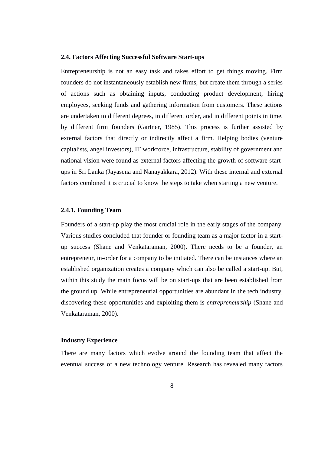#### <span id="page-19-0"></span>**2.4. Factors Affecting Successful Software Start-ups**

Entrepreneurship is not an easy task and takes effort to get things moving. Firm founders do not instantaneously establish new firms, but create them through a series of actions such as obtaining inputs, conducting product development, hiring employees, seeking funds and gathering information from customers. These actions are undertaken to different degrees, in different order, and in different points in time, by different firm founders (Gartner, 1985). This process is further assisted by external factors that directly or indirectly affect a firm. Helping bodies (venture capitalists, angel investors), IT workforce, infrastructure, stability of government and national vision were found as external factors affecting the growth of software startups in Sri Lanka (Jayasena and Nanayakkara, 2012). With these internal and external factors combined it is crucial to know the steps to take when starting a new venture.

#### <span id="page-19-1"></span>**2.4.1. Founding Team**

Founders of a start-up play the most crucial role in the early stages of the company. Various studies concluded that founder or founding team as a major factor in a startup success (Shane and Venkataraman, 2000). There needs to be a founder, an entrepreneur, in-order for a company to be initiated. There can be instances where an established organization creates a company which can also be called a start-up. But, within this study the main focus will be on start-ups that are been established from the ground up. While entrepreneurial opportunities are abundant in the tech industry, discovering these opportunities and exploiting them is *entrepreneurship* (Shane and Venkataraman, 2000).

#### **Industry Experience**

There are many factors which evolve around the founding team that affect the eventual success of a new technology venture. Research has revealed many factors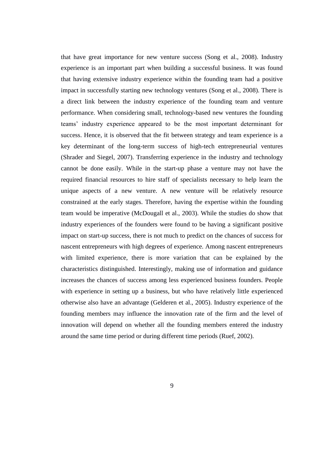that have great importance for new venture success (Song et al., 2008). Industry experience is an important part when building a successful business. It was found that having extensive industry experience within the founding team had a positive impact in successfully starting new technology ventures (Song et al., 2008). There is a direct link between the industry experience of the founding team and venture performance. When considering small, technology-based new ventures the founding teams" industry experience appeared to be the most important determinant for success. Hence, it is observed that the fit between strategy and team experience is a key determinant of the long-term success of high-tech entrepreneurial ventures (Shrader and Siegel, 2007). Transferring experience in the industry and technology cannot be done easily. While in the start-up phase a venture may not have the required financial resources to hire staff of specialists necessary to help learn the unique aspects of a new venture. A new venture will be relatively resource constrained at the early stages. Therefore, having the expertise within the founding team would be imperative (McDougall et al., 2003). While the studies do show that industry experiences of the founders were found to be having a significant positive impact on start-up success, there is not much to predict on the chances of success for nascent entrepreneurs with high degrees of experience. Among nascent entrepreneurs with limited experience, there is more variation that can be explained by the characteristics distinguished. Interestingly, making use of information and guidance increases the chances of success among less experienced business founders. People with experience in setting up a business, but who have relatively little experienced otherwise also have an advantage (Gelderen et al., 2005). Industry experience of the founding members may influence the innovation rate of the firm and the level of innovation will depend on whether all the founding members entered the industry around the same time period or during different time periods (Ruef, 2002).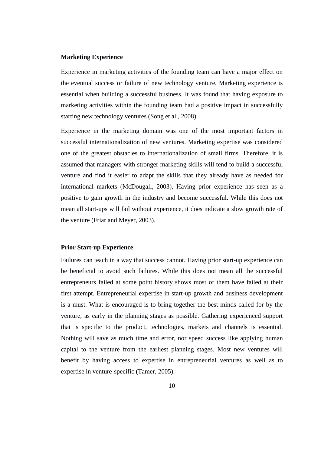#### **Marketing Experience**

Experience in marketing activities of the founding team can have a major effect on the eventual success or failure of new technology venture. Marketing experience is essential when building a successful business. It was found that having exposure to marketing activities within the founding team had a positive impact in successfully starting new technology ventures (Song et al., 2008).

Experience in the marketing domain was one of the most important factors in successful internationalization of new ventures. Marketing expertise was considered one of the greatest obstacles to internationalization of small firms. Therefore, it is assumed that managers with stronger marketing skills will tend to build a successful venture and find it easier to adapt the skills that they already have as needed for international markets (McDougall, 2003). Having prior experience has seen as a positive to gain growth in the industry and become successful. While this does not mean all start-ups will fail without experience, it does indicate a slow growth rate of the venture (Friar and Meyer, 2003).

#### **Prior Start-up Experience**

Failures can teach in a way that success cannot. Having prior start-up experience can be beneficial to avoid such failures. While this does not mean all the successful entrepreneurs failed at some point history shows most of them have failed at their first attempt. Entrepreneurial expertise in start-up growth and business development is a must. What is encouraged is to bring together the best minds called for by the venture, as early in the planning stages as possible. Gathering experienced support that is specific to the product, technologies, markets and channels is essential. Nothing will save as much time and error, nor speed success like applying human capital to the venture from the earliest planning stages. Most new ventures will benefit by having access to expertise in entrepreneurial ventures as well as to expertise in venture-specific (Tamer, 2005).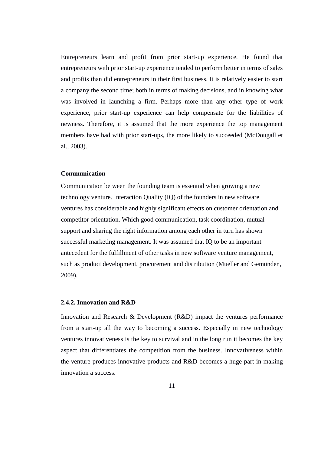Entrepreneurs learn and profit from prior start-up experience. He found that entrepreneurs with prior start-up experience tended to perform better in terms of sales and profits than did entrepreneurs in their first business. It is relatively easier to start a company the second time; both in terms of making decisions, and in knowing what was involved in launching a firm. Perhaps more than any other type of work experience, prior start-up experience can help compensate for the liabilities of newness. Therefore, it is assumed that the more experience the top management members have had with prior start-ups, the more likely to succeeded (McDougall et al., 2003).

#### **Communication**

Communication between the founding team is essential when growing a new technology venture. Interaction Quality (IQ) of the founders in new software ventures has considerable and highly significant effects on customer orientation and competitor orientation. Which good communication, task coordination, mutual support and sharing the right information among each other in turn has shown successful marketing management. It was assumed that IQ to be an important antecedent for the fulfillment of other tasks in new software venture management, such as product development, procurement and distribution (Mueller and Gemünden, 2009).

#### <span id="page-22-0"></span>**2.4.2. Innovation and R&D**

Innovation and Research & Development (R&D) impact the ventures performance from a start-up all the way to becoming a success. Especially in new technology ventures innovativeness is the key to survival and in the long run it becomes the key aspect that differentiates the competition from the business. Innovativeness within the venture produces innovative products and R&D becomes a huge part in making innovation a success.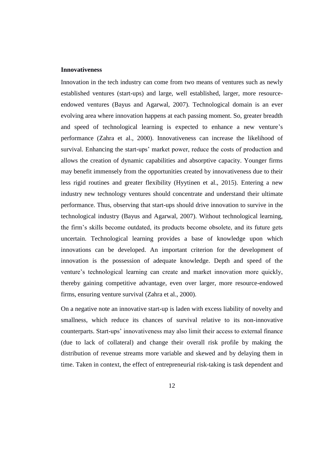#### **Innovativeness**

Innovation in the tech industry can come from two means of ventures such as newly established ventures (start-ups) and large, well established, larger, more resourceendowed ventures (Bayus and Agarwal, 2007). Technological domain is an ever evolving area where innovation happens at each passing moment. So, greater breadth and speed of technological learning is expected to enhance a new venture's performance (Zahra et al., 2000). Innovativeness can increase the likelihood of survival. Enhancing the start-ups' market power, reduce the costs of production and allows the creation of dynamic capabilities and absorptive capacity. Younger firms may benefit immensely from the opportunities created by innovativeness due to their less rigid routines and greater flexibility (Hyytinen et al., 2015). Entering a new industry new technology ventures should concentrate and understand their ultimate performance. Thus, observing that start-ups should drive innovation to survive in the technological industry (Bayus and Agarwal, 2007). Without technological learning, the firm"s skills become outdated, its products become obsolete, and its future gets uncertain. Technological learning provides a base of knowledge upon which innovations can be developed. An important criterion for the development of innovation is the possession of adequate knowledge. Depth and speed of the venture"s technological learning can create and market innovation more quickly, thereby gaining competitive advantage, even over larger, more resource-endowed firms, ensuring venture survival (Zahra et al., 2000).

On a negative note an innovative start-up is laden with excess liability of novelty and smallness, which reduce its chances of survival relative to its non-innovative counterparts. Start-ups' innovativeness may also limit their access to external finance (due to lack of collateral) and change their overall risk profile by making the distribution of revenue streams more variable and skewed and by delaying them in time. Taken in context, the effect of entrepreneurial risk-taking is task dependent and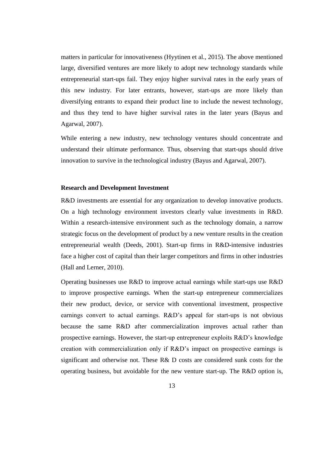matters in particular for innovativeness (Hyytinen et al., 2015). The above mentioned large, diversified ventures are more likely to adopt new technology standards while entrepreneurial start-ups fail. They enjoy higher survival rates in the early years of this new industry. For later entrants, however, start-ups are more likely than diversifying entrants to expand their product line to include the newest technology, and thus they tend to have higher survival rates in the later years (Bayus and Agarwal, 2007).

While entering a new industry, new technology ventures should concentrate and understand their ultimate performance. Thus, observing that start-ups should drive innovation to survive in the technological industry (Bayus and Agarwal, 2007).

#### **Research and Development Investment**

R&D investments are essential for any organization to develop innovative products. On a high technology environment investors clearly value investments in R&D. Within a research-intensive environment such as the technology domain, a narrow strategic focus on the development of product by a new venture results in the creation entrepreneurial wealth (Deeds, 2001). Start-up firms in R&D-intensive industries face a higher cost of capital than their larger competitors and firms in other industries (Hall and Lerner, 2010).

Operating businesses use R&D to improve actual earnings while start-ups use R&D to improve prospective earnings. When the start-up entrepreneur commercializes their new product, device, or service with conventional investment, prospective earnings convert to actual earnings. R&D's appeal for start-ups is not obvious because the same R&D after commercialization improves actual rather than prospective earnings. However, the start-up entrepreneur exploits R&D"s knowledge creation with commercialization only if R&D"s impact on prospective earnings is significant and otherwise not. These R& D costs are considered sunk costs for the operating business, but avoidable for the new venture start-up. The R&D option is,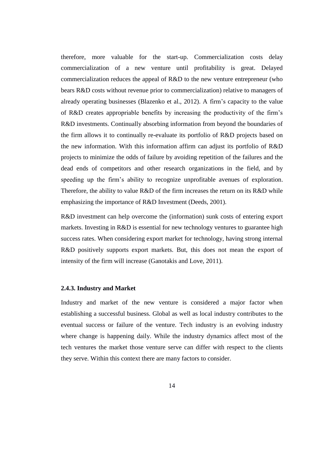therefore, more valuable for the start-up. Commercialization costs delay commercialization of a new venture until profitability is great. Delayed commercialization reduces the appeal of R&D to the new venture entrepreneur (who bears R&D costs without revenue prior to commercialization) relative to managers of already operating businesses (Blazenko et al., 2012). A firm"s capacity to the value of R&D creates appropriable benefits by increasing the productivity of the firm"s R&D investments. Continually absorbing information from beyond the boundaries of the firm allows it to continually re-evaluate its portfolio of R&D projects based on the new information. With this information affirm can adjust its portfolio of R&D projects to minimize the odds of failure by avoiding repetition of the failures and the dead ends of competitors and other research organizations in the field, and by speeding up the firm"s ability to recognize unprofitable avenues of exploration. Therefore, the ability to value R&D of the firm increases the return on its R&D while emphasizing the importance of R&D Investment (Deeds, 2001).

R&D investment can help overcome the (information) sunk costs of entering export markets. Investing in R&D is essential for new technology ventures to guarantee high success rates. When considering export market for technology, having strong internal R&D positively supports export markets. But, this does not mean the export of intensity of the firm will increase (Ganotakis and Love, 2011).

#### <span id="page-25-0"></span>**2.4.3. Industry and Market**

Industry and market of the new venture is considered a major factor when establishing a successful business. Global as well as local industry contributes to the eventual success or failure of the venture. Tech industry is an evolving industry where change is happening daily. While the industry dynamics affect most of the tech ventures the market those venture serve can differ with respect to the clients they serve. Within this context there are many factors to consider.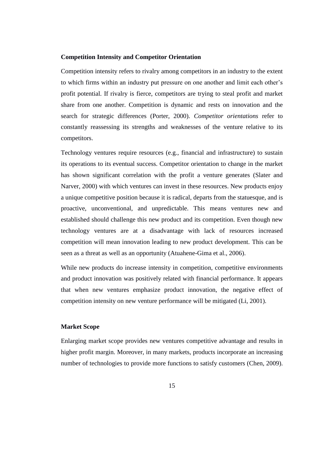#### **Competition Intensity and Competitor Orientation**

Competition intensity refers to rivalry among competitors in an industry to the extent to which firms within an industry put pressure on one another and limit each other"s profit potential. If rivalry is fierce, competitors are trying to steal profit and market share from one another. Competition is dynamic and rests on innovation and the search for strategic differences (Porter, 2000). *Competitor orientations* refer to constantly reassessing its strengths and weaknesses of the venture relative to its competitors.

Technology ventures require resources (e.g., financial and infrastructure) to sustain its operations to its eventual success. Competitor orientation to change in the market has shown significant correlation with the profit a venture generates (Slater and Narver, 2000) with which ventures can invest in these resources. New products enjoy a unique competitive position because it is radical, departs from the statuesque, and is proactive, unconventional, and unpredictable. This means ventures new and established should challenge this new product and its competition. Even though new technology ventures are at a disadvantage with lack of resources increased competition will mean innovation leading to new product development. This can be seen as a threat as well as an opportunity (Atuahene-Gima et al., 2006).

While new products do increase intensity in competition, competitive environments and product innovation was positively related with financial performance. It appears that when new ventures emphasize product innovation, the negative effect of competition intensity on new venture performance will be mitigated (Li, 2001).

#### **Market Scope**

Enlarging market scope provides new ventures competitive advantage and results in higher profit margin. Moreover, in many markets, products incorporate an increasing number of technologies to provide more functions to satisfy customers (Chen, 2009).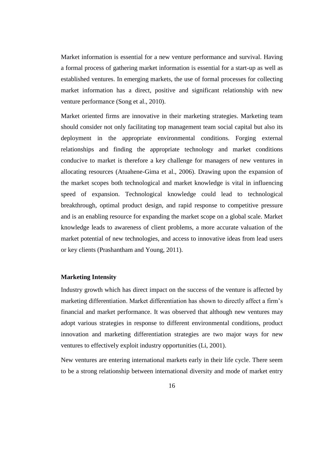Market information is essential for a new venture performance and survival. Having a formal process of gathering market information is essential for a start-up as well as established ventures. In emerging markets, the use of formal processes for collecting market information has a direct, positive and significant relationship with new venture performance (Song et al., 2010).

Market oriented firms are innovative in their marketing strategies. Marketing team should consider not only facilitating top management team social capital but also its deployment in the appropriate environmental conditions. Forging external relationships and finding the appropriate technology and market conditions conducive to market is therefore a key challenge for managers of new ventures in allocating resources (Atuahene-Gima et al., 2006). Drawing upon the expansion of the market scopes both technological and market knowledge is vital in influencing speed of expansion. Technological knowledge could lead to technological breakthrough, optimal product design, and rapid response to competitive pressure and is an enabling resource for expanding the market scope on a global scale. Market knowledge leads to awareness of client problems, a more accurate valuation of the market potential of new technologies, and access to innovative ideas from lead users or key clients (Prashantham and Young, 2011).

#### **Marketing Intensity**

Industry growth which has direct impact on the success of the venture is affected by marketing differentiation. Market differentiation has shown to directly affect a firm"s financial and market performance. It was observed that although new ventures may adopt various strategies in response to different environmental conditions, product innovation and marketing differentiation strategies are two major ways for new ventures to effectively exploit industry opportunities (Li, 2001).

New ventures are entering international markets early in their life cycle. There seem to be a strong relationship between international diversity and mode of market entry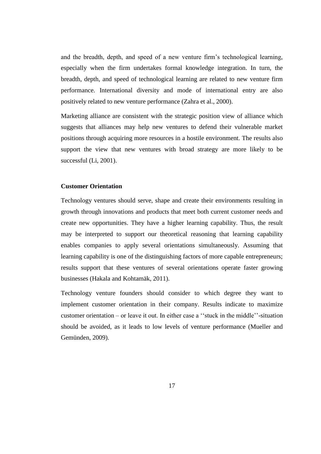and the breadth, depth, and speed of a new venture firm"s technological learning, especially when the firm undertakes formal knowledge integration. In turn, the breadth, depth, and speed of technological learning are related to new venture firm performance. International diversity and mode of international entry are also positively related to new venture performance (Zahra et al., 2000).

Marketing alliance are consistent with the strategic position view of alliance which suggests that alliances may help new ventures to defend their vulnerable market positions through acquiring more resources in a hostile environment. The results also support the view that new ventures with broad strategy are more likely to be successful (Li, 2001).

### **Customer Orientation**

Technology ventures should serve, shape and create their environments resulting in growth through innovations and products that meet both current customer needs and create new opportunities. They have a higher learning capability. Thus, the result may be interpreted to support our theoretical reasoning that learning capability enables companies to apply several orientations simultaneously. Assuming that learning capability is one of the distinguishing factors of more capable entrepreneurs; results support that these ventures of several orientations operate faster growing businesses (Hakala and Kohtamäk, 2011).

Technology venture founders should consider to which degree they want to implement customer orientation in their company. Results indicate to maximize customer orientation – or leave it out. In either case a ""stuck in the middle""-situation should be avoided, as it leads to low levels of venture performance (Mueller and Gemünden, 2009).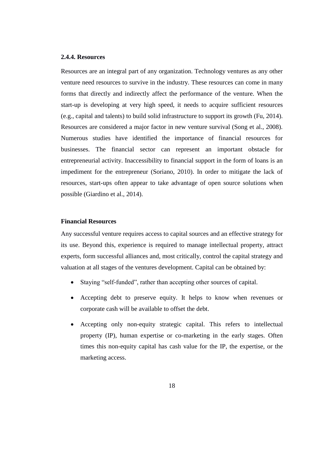#### <span id="page-29-0"></span>**2.4.4. Resources**

Resources are an integral part of any organization. Technology ventures as any other venture need resources to survive in the industry. These resources can come in many forms that directly and indirectly affect the performance of the venture. When the start-up is developing at very high speed, it needs to acquire sufficient resources (e.g., capital and talents) to build solid infrastructure to support its growth (Fu, 2014). Resources are considered a major factor in new venture survival (Song et al., 2008). Numerous studies have identified the importance of financial resources for businesses. The financial sector can represent an important obstacle for entrepreneurial activity. Inaccessibility to financial support in the form of loans is an impediment for the entrepreneur (Soriano, 2010). In order to mitigate the lack of resources, start-ups often appear to take advantage of open source solutions when possible (Giardino et al., 2014).

#### **Financial Resources**

Any successful venture requires access to capital sources and an effective strategy for its use. Beyond this, experience is required to manage intellectual property, attract experts, form successful alliances and, most critically, control the capital strategy and valuation at all stages of the ventures development. Capital can be obtained by:

- Staying "self-funded", rather than accepting other sources of capital.
- Accepting debt to preserve equity. It helps to know when revenues or corporate cash will be available to offset the debt.
- Accepting only non-equity strategic capital. This refers to intellectual property (IP), human expertise or co-marketing in the early stages. Often times this non-equity capital has cash value for the IP, the expertise, or the marketing access.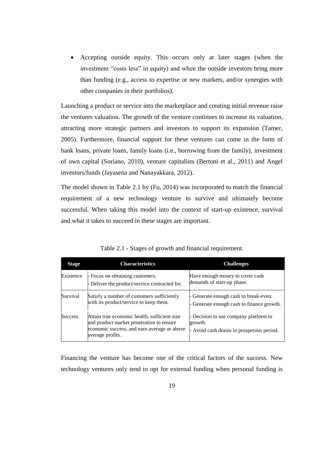Accepting outside equity. This occurs only at later stages (when the investment "costs less" in equity) and when the outside investors bring more than funding (e.g., access to expertise or new markets, and/or synergies with other companies in their portfolios).

Launching a product or service into the marketplace and creating initial revenue raise the ventures valuation. The growth of the venture continues to increase its valuation, attracting more strategic partners and investors to support its expansion (Tamer, 2005). Furthermore, financial support for these ventures can come in the form of bank loans, private loans, family loans (i.e., borrowing from the family), investment of own capital (Soriano, 2010), venture capitalists (Bertoni et al., 2011) and Angel investors/funds (Jayasena and Nanayakkara, 2012).

The model shown in Table 2.1 by (Fu, 2014) was incorporated to match the financial requirement of a new technology venture to survive and ultimately become successful. When taking this model into the context of start-up existence, survival and what it takes to succeed in these stages are important.

| <b>Stage</b>   | <b>Characteristics</b>                                                                                                                                      | <b>Challenges</b>                                                                             |
|----------------|-------------------------------------------------------------------------------------------------------------------------------------------------------------|-----------------------------------------------------------------------------------------------|
| Existence      | - Focus on obtaining customers.<br>- Deliver the product/service contracted for.                                                                            | Have enough money to cover cash<br>demands of start-up phase.                                 |
| Survival       | Satisfy a number of customers sufficiently<br>with its product/service to keep them.                                                                        | Generate enough cash to break-even.<br>Generate enough cash to finance growth.                |
| <b>Success</b> | Attain true economic health, sufficient size<br>and product market penetration to ensure<br>economic success, and earn average or above<br>average profits. | - Decision to use company platform to<br>growth.<br>- Avoid cash drains in prosperous period. |

Table 2.1 - Stages of growth and financial requirement.

Financing the venture has become one of the critical factors of the success. New technology ventures only tend to opt for external funding when personal funding is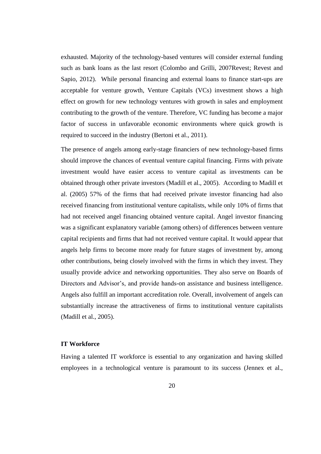exhausted. Majority of the technology-based ventures will consider external funding such as bank loans as the last resort (Colombo and Grilli, 2007Revest; Revest and Sapio, 2012). While personal financing and external loans to finance start-ups are acceptable for venture growth, Venture Capitals (VCs) investment shows a high effect on growth for new technology ventures with growth in sales and employment contributing to the growth of the venture. Therefore, VC funding has become a major factor of success in unfavorable economic environments where quick growth is required to succeed in the industry (Bertoni et al., 2011).

The presence of angels among early-stage financiers of new technology-based firms should improve the chances of eventual venture capital financing. Firms with private investment would have easier access to venture capital as investments can be obtained through other private investors (Madill et al., 2005). According to Madill et al. (2005) 57% of the firms that had received private investor financing had also received financing from institutional venture capitalists, while only 10% of firms that had not received angel financing obtained venture capital. Angel investor financing was a significant explanatory variable (among others) of differences between venture capital recipients and firms that had not received venture capital. It would appear that angels help firms to become more ready for future stages of investment by, among other contributions, being closely involved with the firms in which they invest. They usually provide advice and networking opportunities. They also serve on Boards of Directors and Advisor"s, and provide hands-on assistance and business intelligence. Angels also fulfill an important accreditation role. Overall, involvement of angels can substantially increase the attractiveness of firms to institutional venture capitalists (Madill et al., 2005).

#### **IT Workforce**

Having a talented IT workforce is essential to any organization and having skilled employees in a technological venture is paramount to its success (Jennex et al.,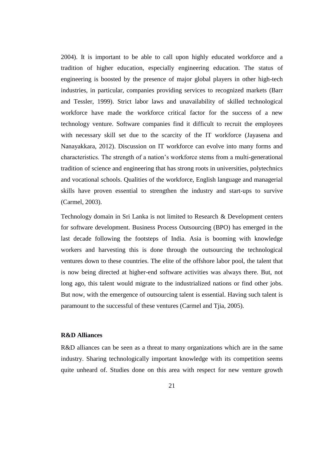2004). It is important to be able to call upon highly educated workforce and a tradition of higher education, especially engineering education. The status of engineering is boosted by the presence of major global players in other high-tech industries, in particular, companies providing services to recognized markets (Barr and Tessler, 1999). Strict labor laws and unavailability of skilled technological workforce have made the workforce critical factor for the success of a new technology venture. Software companies find it difficult to recruit the employees with necessary skill set due to the scarcity of the IT workforce (Jayasena and Nanayakkara, 2012). Discussion on IT workforce can evolve into many forms and characteristics. The strength of a nation"s workforce stems from a multi-generational tradition of science and engineering that has strong roots in universities, polytechnics and vocational schools. Qualities of the workforce, English language and managerial skills have proven essential to strengthen the industry and start-ups to survive (Carmel, 2003).

Technology domain in Sri Lanka is not limited to Research & Development centers for software development. Business Process Outsourcing (BPO) has emerged in the last decade following the footsteps of India. Asia is booming with knowledge workers and harvesting this is done through the outsourcing the technological ventures down to these countries. The elite of the offshore labor pool, the talent that is now being directed at higher-end software activities was always there. But, not long ago, this talent would migrate to the industrialized nations or find other jobs. But now, with the emergence of outsourcing talent is essential. Having such talent is paramount to the successful of these ventures (Carmel and Tjia, 2005).

### **R&D Alliances**

R&D alliances can be seen as a threat to many organizations which are in the same industry. Sharing technologically important knowledge with its competition seems quite unheard of. Studies done on this area with respect for new venture growth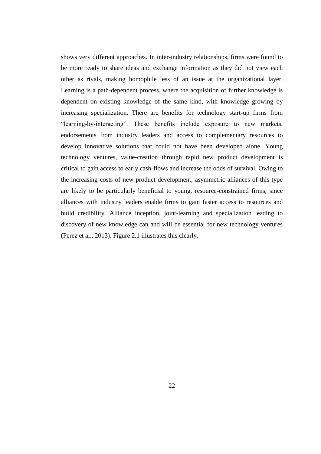shows very different approaches. In inter-industry relationships, firms were found to be more ready to share ideas and exchange information as they did not view each other as rivals, making homophile less of an issue at the organizational layer. Learning is a path-dependent process, where the acquisition of further knowledge is dependent on existing knowledge of the same kind, with knowledge growing by increasing specialization. There are benefits for technology start-up firms from "learning-by-interacting". These benefits include exposure to new markets, endorsements from industry leaders and access to complementary resources to develop innovative solutions that could not have been developed alone. Young technology ventures, value-creation through rapid new product development is critical to gain access to early cash-flows and increase the odds of survival. Owing to the increasing costs of new product development, asymmetric alliances of this type are likely to be particularly beneficial to young, resource-constrained firms, since alliances with industry leaders enable firms to gain faster access to resources and build credibility. Alliance inception, joint-learning and specialization leading to discovery of new knowledge can and will be essential for new technology ventures (Perez et al., 2013). Figure 2.1 illustrates this clearly.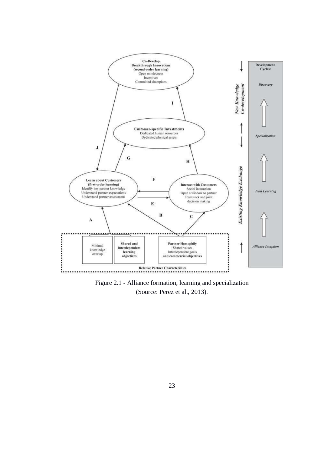

(Source: Perez et al., 2013). Figure 2.1 - Alliance formation, learning and specialization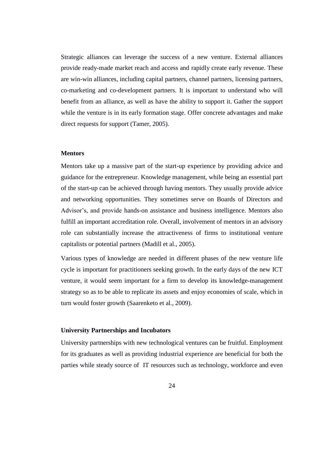Strategic alliances can leverage the success of a new venture. External alliances provide ready-made market reach and access and rapidly create early revenue. These are win-win alliances, including capital partners, channel partners, licensing partners, co-marketing and co-development partners. It is important to understand who will benefit from an alliance, as well as have the ability to support it. Gather the support while the venture is in its early formation stage. Offer concrete advantages and make direct requests for support (Tamer, 2005).

#### **Mentors**

Mentors take up a massive part of the start-up experience by providing advice and guidance for the entrepreneur. Knowledge management, while being an essential part of the start-up can be achieved through having mentors. They usually provide advice and networking opportunities. They sometimes serve on Boards of Directors and Advisor"s, and provide hands-on assistance and business intelligence. Mentors also fulfill an important accreditation role. Overall, involvement of mentors in an advisory role can substantially increase the attractiveness of firms to institutional venture capitalists or potential partners (Madill et al., 2005).

Various types of knowledge are needed in different phases of the new venture life cycle is important for practitioners seeking growth. In the early days of the new ICT venture, it would seem important for a firm to develop its knowledge-management strategy so as to be able to replicate its assets and enjoy economies of scale, which in turn would foster growth (Saarenketo et al., 2009).

#### **University Partnerships and Incubators**

University partnerships with new technological ventures can be fruitful. Employment for its graduates as well as providing industrial experience are beneficial for both the parties while steady source of IT resources such as technology, workforce and even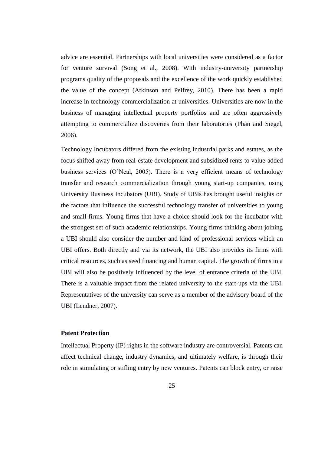advice are essential. Partnerships with local universities were considered as a factor for venture survival (Song et al., 2008). With industry-university partnership programs quality of the proposals and the excellence of the work quickly established the value of the concept (Atkinson and Pelfrey, 2010). There has been a rapid increase in technology commercialization at universities. Universities are now in the business of managing intellectual property portfolios and are often aggressively attempting to commercialize discoveries from their laboratories (Phan and Siegel, 2006).

Technology Incubators differed from the existing industrial parks and estates, as the focus shifted away from real-estate development and subsidized rents to value-added business services (O"Neal, 2005). There is a very efficient means of technology transfer and research commercialization through young start-up companies, using University Business Incubators (UBI). Study of UBIs has brought useful insights on the factors that influence the successful technology transfer of universities to young and small firms. Young firms that have a choice should look for the incubator with the strongest set of such academic relationships. Young firms thinking about joining a UBI should also consider the number and kind of professional services which an UBI offers. Both directly and via its network, the UBI also provides its firms with critical resources, such as seed financing and human capital. The growth of firms in a UBI will also be positively influenced by the level of entrance criteria of the UBI. There is a valuable impact from the related university to the start-ups via the UBI. Representatives of the university can serve as a member of the advisory board of the UBI (Lendner, 2007).

### **Patent Protection**

Intellectual Property (IP) rights in the software industry are controversial. Patents can affect technical change, industry dynamics, and ultimately welfare, is through their role in stimulating or stifling entry by new ventures. Patents can block entry, or raise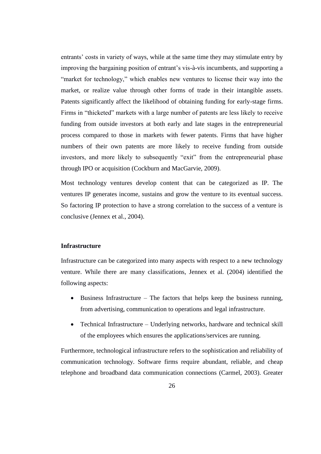entrants' costs in variety of ways, while at the same time they may stimulate entry by improving the bargaining position of entrant"s vis-à-vis incumbents, and supporting a "market for technology," which enables new ventures to license their way into the market, or realize value through other forms of trade in their intangible assets. Patents significantly affect the likelihood of obtaining funding for early-stage firms. Firms in "thicketed" markets with a large number of patents are less likely to receive funding from outside investors at both early and late stages in the entrepreneurial process compared to those in markets with fewer patents. Firms that have higher numbers of their own patents are more likely to receive funding from outside investors, and more likely to subsequently "exit" from the entrepreneurial phase through IPO or acquisition (Cockburn and MacGarvie, 2009).

Most technology ventures develop content that can be categorized as IP. The ventures IP generates income, sustains and grow the venture to its eventual success. So factoring IP protection to have a strong correlation to the success of a venture is conclusive (Jennex et al., 2004).

### **Infrastructure**

Infrastructure can be categorized into many aspects with respect to a new technology venture. While there are many classifications, Jennex et al. (2004) identified the following aspects:

- $\bullet$  Business Infrastructure The factors that helps keep the business running, from advertising, communication to operations and legal infrastructure.
- Technical Infrastructure Underlying networks, hardware and technical skill of the employees which ensures the applications/services are running.

Furthermore, technological infrastructure refers to the sophistication and reliability of communication technology. Software firms require abundant, reliable, and cheap telephone and broadband data communication connections (Carmel, 2003). Greater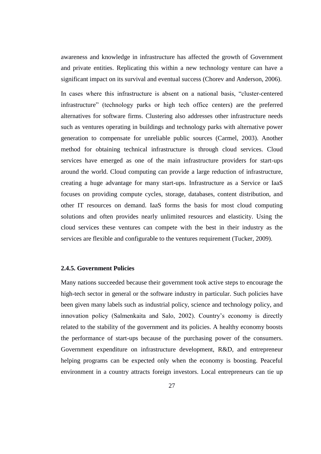awareness and knowledge in infrastructure has affected the growth of Government and private entities. Replicating this within a new technology venture can have a significant impact on its survival and eventual success (Chorev and Anderson, 2006).

In cases where this infrastructure is absent on a national basis, "cluster-centered infrastructure" (technology parks or high tech office centers) are the preferred alternatives for software firms. Clustering also addresses other infrastructure needs such as ventures operating in buildings and technology parks with alternative power generation to compensate for unreliable public sources (Carmel, 2003). Another method for obtaining technical infrastructure is through cloud services. Cloud services have emerged as one of the main infrastructure providers for start-ups around the world. Cloud computing can provide a large reduction of infrastructure, creating a huge advantage for many start-ups. Infrastructure as a Service or IaaS focuses on providing compute cycles, storage, databases, content distribution, and other IT resources on demand. IaaS forms the basis for most cloud computing solutions and often provides nearly unlimited resources and elasticity. Using the cloud services these ventures can compete with the best in their industry as the services are flexible and configurable to the ventures requirement (Tucker, 2009).

### **2.4.5. Government Policies**

Many nations succeeded because their government took active steps to encourage the high-tech sector in general or the software industry in particular. Such policies have been given many labels such as industrial policy, science and technology policy, and innovation policy (Salmenkaita and Salo, 2002). Country"s economy is directly related to the stability of the government and its policies. A healthy economy boosts the performance of start-ups because of the purchasing power of the consumers. Government expenditure on infrastructure development, R&D, and entrepreneur helping programs can be expected only when the economy is boosting. Peaceful environment in a country attracts foreign investors. Local entrepreneurs can tie up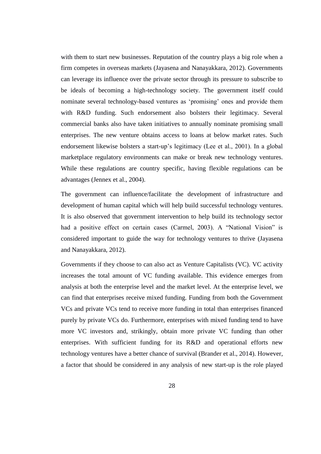with them to start new businesses. Reputation of the country plays a big role when a firm competes in overseas markets (Jayasena and Nanayakkara, 2012). Governments can leverage its influence over the private sector through its pressure to subscribe to be ideals of becoming a high-technology society. The government itself could nominate several technology-based ventures as "promising" ones and provide them with R&D funding. Such endorsement also bolsters their legitimacy. Several commercial banks also have taken initiatives to annually nominate promising small enterprises. The new venture obtains access to loans at below market rates. Such endorsement likewise bolsters a start-up"s legitimacy (Lee et al., 2001). In a global marketplace regulatory environments can make or break new technology ventures. While these regulations are country specific, having flexible regulations can be advantages (Jennex et al., 2004).

The government can influence/facilitate the development of infrastructure and development of human capital which will help build successful technology ventures. It is also observed that government intervention to help build its technology sector had a positive effect on certain cases (Carmel, 2003). A "National Vision" is considered important to guide the way for technology ventures to thrive (Jayasena and Nanayakkara, 2012).

Governments if they choose to can also act as Venture Capitalists (VC). VC activity increases the total amount of VC funding available. This evidence emerges from analysis at both the enterprise level and the market level. At the enterprise level, we can find that enterprises receive mixed funding. Funding from both the Government VCs and private VCs tend to receive more funding in total than enterprises financed purely by private VCs do. Furthermore, enterprises with mixed funding tend to have more VC investors and, strikingly, obtain more private VC funding than other enterprises. With sufficient funding for its R&D and operational efforts new technology ventures have a better chance of survival (Brander et al., 2014). However, a factor that should be considered in any analysis of new start-up is the role played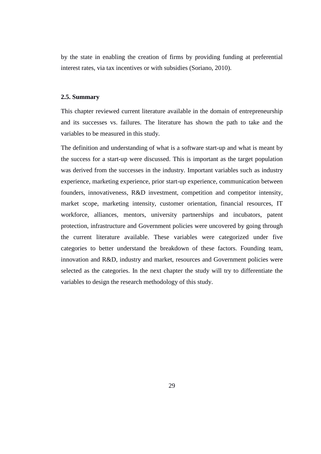by the state in enabling the creation of firms by providing funding at preferential interest rates, via tax incentives or with subsidies (Soriano, 2010).

### **2.5. Summary**

This chapter reviewed current literature available in the domain of entrepreneurship and its successes vs. failures. The literature has shown the path to take and the variables to be measured in this study.

The definition and understanding of what is a software start-up and what is meant by the success for a start-up were discussed. This is important as the target population was derived from the successes in the industry. Important variables such as industry experience, marketing experience, prior start-up experience, communication between founders, innovativeness, R&D investment, competition and competitor intensity, market scope, marketing intensity, customer orientation, financial resources, IT workforce, alliances, mentors, university partnerships and incubators, patent protection, infrastructure and Government policies were uncovered by going through the current literature available. These variables were categorized under five categories to better understand the breakdown of these factors. Founding team, innovation and R&D, industry and market, resources and Government policies were selected as the categories. In the next chapter the study will try to differentiate the variables to design the research methodology of this study.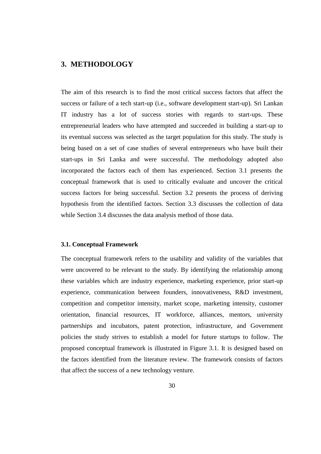# **3. METHODOLOGY**

The aim of this research is to find the most critical success factors that affect the success or failure of a tech start-up (i.e., software development start-up). Sri Lankan IT industry has a lot of success stories with regards to start-ups. These entrepreneurial leaders who have attempted and succeeded in building a start-up to its eventual success was selected as the target population for this study. The study is being based on a set of case studies of several entrepreneurs who have built their start-ups in Sri Lanka and were successful. The methodology adopted also incorporated the factors each of them has experienced. Section 3.1 presents the conceptual framework that is used to critically evaluate and uncover the critical success factors for being successful. Section 3.2 presents the process of deriving hypothesis from the identified factors. Section 3.3 discusses the collection of data while Section 3.4 discusses the data analysis method of those data.

### **3.1. Conceptual Framework**

The conceptual framework refers to the usability and validity of the variables that were uncovered to be relevant to the study. By identifying the relationship among these variables which are industry experience, marketing experience, prior start-up experience, communication between founders, innovativeness, R&D investment, competition and competitor intensity, market scope, marketing intensity, customer orientation, financial resources, IT workforce, alliances, mentors, university partnerships and incubators, patent protection, infrastructure, and Government policies the study strives to establish a model for future startups to follow. The proposed conceptual framework is illustrated in Figure 3.1. It is designed based on the factors identified from the literature review. The framework consists of factors that affect the success of a new technology venture.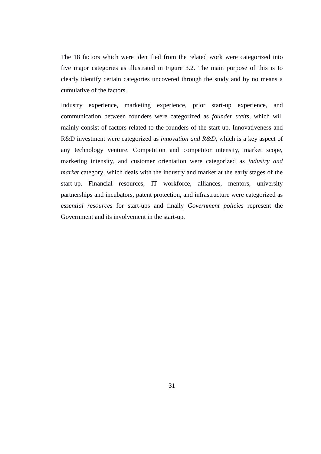The 18 factors which were identified from the related work were categorized into five major categories as illustrated in Figure 3.2. The main purpose of this is to clearly identify certain categories uncovered through the study and by no means a cumulative of the factors.

Industry experience, marketing experience, prior start-up experience, and communication between founders were categorized as *founder traits*, which will mainly consist of factors related to the founders of the start-up. Innovativeness and R&D investment were categorized as *innovation and R&D*, which is a key aspect of any technology venture. Competition and competitor intensity, market scope, marketing intensity, and customer orientation were categorized as *industry and market* category, which deals with the industry and market at the early stages of the start-up. Financial resources, IT workforce, alliances, mentors, university partnerships and incubators, patent protection, and infrastructure were categorized as *essential resources* for start-ups and finally *Government policies* represent the Government and its involvement in the start-up.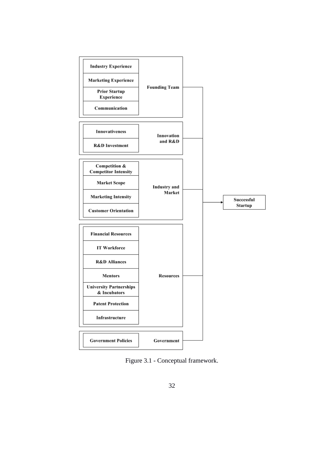

Figure 3.1 - Conceptual framework.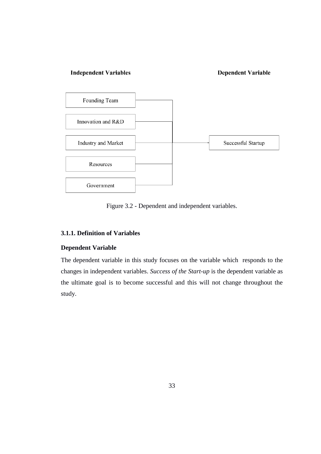### **Independent Variables**

### **Dependent Variable**



Figure 3.2 - Dependent and independent variables.

## **3.1.1. Definition of Variables**

### **Dependent Variable**

The dependent variable in this study focuses on the variable which responds to the changes in independent variables. *Success of the Start-up* is the dependent variable as the ultimate goal is to become successful and this will not change throughout the study.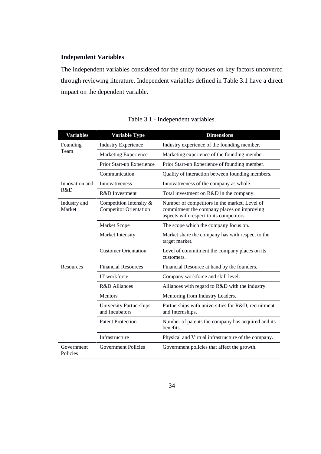# **Independent Variables**

The independent variables considered for the study focuses on key factors uncovered through reviewing literature. Independent variables defined in Table 3.1 have a direct impact on the dependent variable.

| <b>Variables</b>       | <b>Variable Type</b>                                     | <b>Dimensions</b>                                                                                                                       |  |  |
|------------------------|----------------------------------------------------------|-----------------------------------------------------------------------------------------------------------------------------------------|--|--|
| Founding               | <b>Industry Experience</b>                               | Industry experience of the founding member.                                                                                             |  |  |
| Team                   | Marketing Experience                                     | Marketing experience of the founding member.                                                                                            |  |  |
|                        | Prior Start-up Experience                                | Prior Start-up Experience of founding member.                                                                                           |  |  |
|                        | Communication                                            | Quality of interaction between founding members.                                                                                        |  |  |
| Innovation and         | Innovativeness                                           | Innovativeness of the company as whole.                                                                                                 |  |  |
| R&D                    | R&D Investment                                           | Total investment on R&D in the company.                                                                                                 |  |  |
| Industry and<br>Market | Competition Intensity &<br><b>Competitor Orientation</b> | Number of competitors in the market. Level of<br>commitment the company places on improving<br>aspects with respect to its competitors. |  |  |
|                        | Market Scope                                             | The scope which the company focus on.                                                                                                   |  |  |
|                        | Market Intensity                                         | Market share the company has with respect to the<br>target market.                                                                      |  |  |
|                        | <b>Customer Orientation</b>                              | Level of commitment the company places on its<br>customers.                                                                             |  |  |
| Resources              | <b>Financial Resources</b>                               | Financial Resource at hand by the founders.                                                                                             |  |  |
|                        | IT workforce                                             | Company workforce and skill level.                                                                                                      |  |  |
|                        | R&D Alliances                                            | Alliances with regard to R&D with the industry.                                                                                         |  |  |
|                        | Mentors                                                  | Mentoring from Industry Leaders.                                                                                                        |  |  |
|                        | <b>University Partnerships</b><br>and Incubators         | Partnerships with universities for R&D, recruitment<br>and Internships.                                                                 |  |  |
|                        | <b>Patent Protection</b>                                 | Number of patents the company has acquired and its<br>benefits.                                                                         |  |  |
|                        | Infrastructure                                           | Physical and Virtual infrastructure of the company.                                                                                     |  |  |
| Government<br>Policies | <b>Government Policies</b>                               | Government policies that affect the growth.                                                                                             |  |  |

|  | Table 3.1 - Independent variables. |  |
|--|------------------------------------|--|
|--|------------------------------------|--|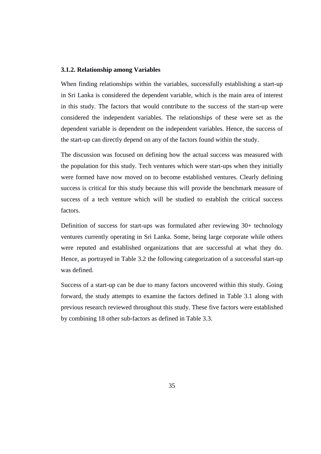### **3.1.2. Relationship among Variables**

When finding relationships within the variables, successfully establishing a start-up in Sri Lanka is considered the dependent variable, which is the main area of interest in this study. The factors that would contribute to the success of the start-up were considered the independent variables. The relationships of these were set as the dependent variable is dependent on the independent variables. Hence, the success of the start-up can directly depend on any of the factors found within the study.

The discussion was focused on defining how the actual success was measured with the population for this study. Tech ventures which were start-ups when they initially were formed have now moved on to become established ventures. Clearly defining success is critical for this study because this will provide the benchmark measure of success of a tech venture which will be studied to establish the critical success factors.

Definition of success for start-ups was formulated after reviewing 30+ technology ventures currently operating in Sri Lanka. Some, being large corporate while others were reputed and established organizations that are successful at what they do. Hence, as portrayed in Table 3.2 the following categorization of a successful start-up was defined.

Success of a start-up can be due to many factors uncovered within this study. Going forward, the study attempts to examine the factors defined in Table 3.1 along with previous research reviewed throughout this study. These five factors were established by combining 18 other sub-factors as defined in Table 3.3.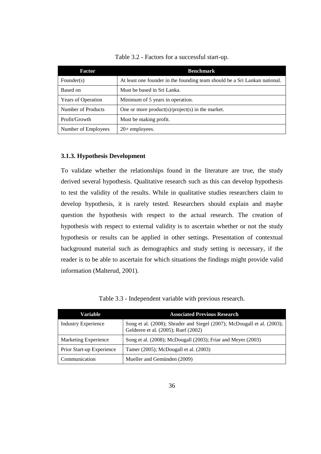| Factor                    | <b>Benchmark</b>                                                           |
|---------------------------|----------------------------------------------------------------------------|
| Founder $(s)$             | At least one founder in the founding team should be a Sri Lankan national. |
| Based on                  | Must be based in Sri Lanka.                                                |
| <b>Years of Operation</b> | Minimum of 5 years in operation.                                           |
| Number of Products        | One or more product(s)/project(s) in the market.                           |
| Profit/Growth             | Must be making profit.                                                     |
| Number of Employees       | $20+$ employees.                                                           |

Table 3.2 - Factors for a successful start-up.

#### **3.1.3. Hypothesis Development**

To validate whether the relationships found in the literature are true, the study derived several hypothesis. Qualitative research such as this can develop hypothesis to test the validity of the results. While in qualitative studies researchers claim to develop hypothesis, it is rarely tested. Researchers should explain and maybe question the hypothesis with respect to the actual research. The creation of hypothesis with respect to external validity is to ascertain whether or not the study hypothesis or results can be applied in other settings. Presentation of contextual background material such as demographics and study setting is necessary, if the reader is to be able to ascertain for which situations the findings might provide valid information (Malterud, 2001).

| Variable                   | <b>Associated Previous Research</b>                                                                            |
|----------------------------|----------------------------------------------------------------------------------------------------------------|
| <b>Industry Experience</b> | Song et al. (2008); Shrader and Siegel (2007); McDougall et al. (2003);<br>Gelderen et al. (2005); Ruef (2002) |
| Marketing Experience       | Song et al. (2008); McDougall (2003); Friar and Meyer (2003)                                                   |
| Prior Start-up Experience  | Tamer (2005); McDougall et al. (2003)                                                                          |
| Communication              | Mueller and Gemünden (2009)                                                                                    |

Table 3.3 - Independent variable with previous research.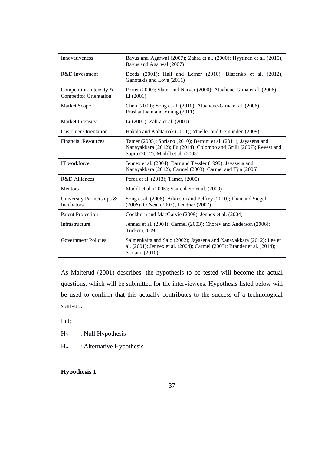| Innovativeness                                                                                                                                                                                  | Bayus and Agarwal (2007); Zahra et al. (2000); Hyytinen et al. (2015);<br>Bayus and Agarwal (2007)                                                                              |  |
|-------------------------------------------------------------------------------------------------------------------------------------------------------------------------------------------------|---------------------------------------------------------------------------------------------------------------------------------------------------------------------------------|--|
| R&D Investment                                                                                                                                                                                  | Deeds (2001); Hall and Lerner (2010); Blazenko et al. (2012);<br>Ganotakis and Love (2011)                                                                                      |  |
| Competition Intensity &<br><b>Competitor Orientation</b>                                                                                                                                        | Porter (2000); Slater and Narver (2000); Atuahene-Gima et al. (2006);<br>Li(2001)                                                                                               |  |
| <b>Market Scope</b>                                                                                                                                                                             | Chen (2009); Song et al. (2010); Atuahene-Gima et al. (2006);<br>Prashantham and Young (2011)                                                                                   |  |
| Market Intensity                                                                                                                                                                                | Li (2001); Zahra et al. (2000)                                                                                                                                                  |  |
| <b>Customer Orientation</b>                                                                                                                                                                     | Hakala and Kohtamäk (2011); Mueller and Gemünden (2009)                                                                                                                         |  |
| <b>Financial Resources</b>                                                                                                                                                                      | Tamer (2005); Soriano (2010); Bertoni et al. (2011); Jayasena and<br>Nanayakkara (2012); Fu (2014); Colombo and Grilli (2007); Revest and<br>Sapio (2012); Madill et al. (2005) |  |
| IT workforce                                                                                                                                                                                    | Jennex et al. (2004); Barr and Tessler (1999); Jayasena and<br>Nanayakkara (2012); Carmel (2003); Carmel and Tjia (2005)                                                        |  |
| R&D Alliances                                                                                                                                                                                   | Perez et al. (2013); Tamer, (2005)                                                                                                                                              |  |
| <b>Mentors</b>                                                                                                                                                                                  | Madill et al. (2005); Saarenketo et al. (2009)                                                                                                                                  |  |
| Song et al. (2008); Atkinson and Pelfrey (2010); Phan and Siegel<br>University Partnerships &<br><b>Incubators</b><br>(2006); O'Neal (2005); Lendner (2007)                                     |                                                                                                                                                                                 |  |
| <b>Patent Protection</b>                                                                                                                                                                        | Cockburn and MacGarvie (2009); Jennex et al. (2004)                                                                                                                             |  |
| Infrastructure                                                                                                                                                                                  | Jennex et al. (2004); Carmel (2003); Chorey and Anderson (2006);<br>Tucker (2009)                                                                                               |  |
| <b>Government Policies</b><br>Salmenkaita and Salo (2002); Jayasena and Nanayakkara (2012); Lee et<br>al. (2001); Jennex et al. (2004); Carmel (2003); Brander et al. (2014);<br>Soriano (2010) |                                                                                                                                                                                 |  |

As Malterud (2001) describes, the hypothesis to be tested will become the actual questions, which will be submitted for the interviewees. Hypothesis listed below will be used to confirm that this actually contributes to the success of a technological start-up.

Let;

 $H_0$  : Null Hypothesis

H<sub>A</sub> : Alternative Hypothesis

# **Hypothesis 1**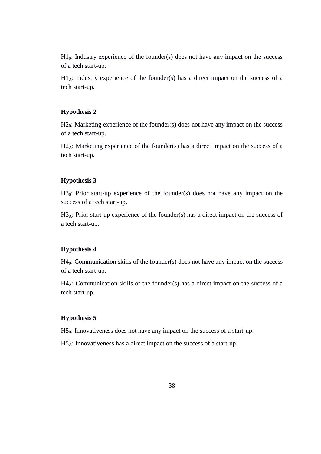$H1<sub>0</sub>$ : Industry experience of the founder(s) does not have any impact on the success of a tech start-up.

 $H1_A$ : Industry experience of the founder(s) has a direct impact on the success of a tech start-up.

### **Hypothesis 2**

 $H2<sub>0</sub>$ : Marketing experience of the founder(s) does not have any impact on the success of a tech start-up.

H<sub>2A</sub>: Marketing experience of the founder(s) has a direct impact on the success of a tech start-up.

### **Hypothesis 3**

H<sub>30</sub>: Prior start-up experience of the founder(s) does not have any impact on the success of a tech start-up.

H3<sub>A</sub>: Prior start-up experience of the founder(s) has a direct impact on the success of a tech start-up.

### **Hypothesis 4**

H4<sub>0</sub>: Communication skills of the founder(s) does not have any impact on the success of a tech start-up.

H4A: Communication skills of the founder(s) has a direct impact on the success of a tech start-up.

### **Hypothesis 5**

H50: Innovativeness does not have any impact on the success of a start-up.

H5A: Innovativeness has a direct impact on the success of a start-up.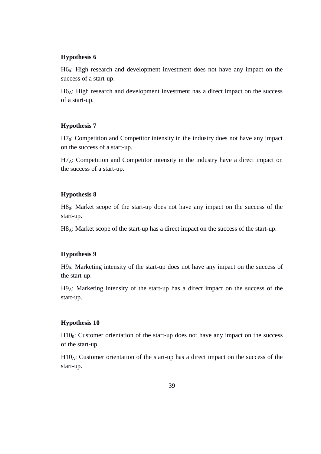### **Hypothesis 6**

H60: High research and development investment does not have any impact on the success of a start-up.

H6<sub>A</sub>: High research and development investment has a direct impact on the success of a start-up.

### **Hypothesis 7**

H7<sub>0</sub>: Competition and Competitor intensity in the industry does not have any impact on the success of a start-up.

 $H7_A$ : Competition and Competitor intensity in the industry have a direct impact on the success of a start-up.

#### **Hypothesis 8**

H80: Market scope of the start-up does not have any impact on the success of the start-up.

H8<sub>A</sub>: Market scope of the start-up has a direct impact on the success of the start-up.

### **Hypothesis 9**

H90: Marketing intensity of the start-up does not have any impact on the success of the start-up.

H9A: Marketing intensity of the start-up has a direct impact on the success of the start-up.

#### **Hypothesis 10**

 $H10<sub>0</sub>$ : Customer orientation of the start-up does not have any impact on the success of the start-up.

 $H10_A$ : Customer orientation of the start-up has a direct impact on the success of the start-up.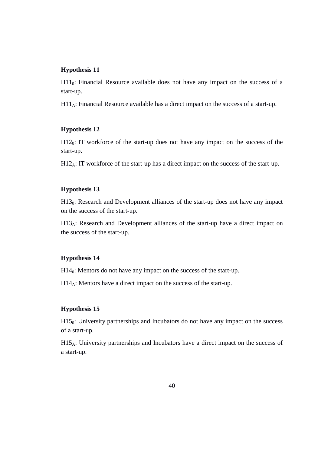### **Hypothesis 11**

 $H11<sub>0</sub>$ : Financial Resource available does not have any impact on the success of a start-up.

 $H11_A$ : Financial Resource available has a direct impact on the success of a start-up.

#### **Hypothesis 12**

 $H12<sub>0</sub>$ : IT workforce of the start-up does not have any impact on the success of the start-up.

 $H12_A$ : IT workforce of the start-up has a direct impact on the success of the start-up.

### **Hypothesis 13**

 $H13<sub>0</sub>$ : Research and Development alliances of the start-up does not have any impact on the success of the start-up.

 $H13_A$ : Research and Development alliances of the start-up have a direct impact on the success of the start-up.

### **Hypothesis 14**

 $H14<sub>0</sub>$ : Mentors do not have any impact on the success of the start-up.

H14A: Mentors have a direct impact on the success of the start-up.

#### **Hypothesis 15**

 $H15<sub>0</sub>$ : University partnerships and Incubators do not have any impact on the success of a start-up.

 $H15_A$ : University partnerships and Incubators have a direct impact on the success of a start-up.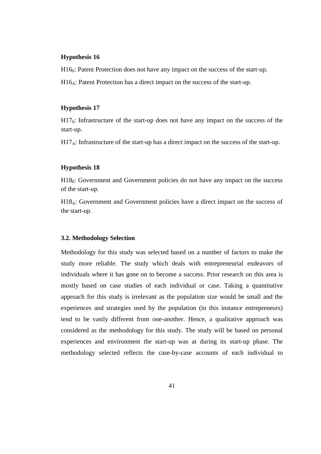#### **Hypothesis 16**

H<sub>160</sub>: Patent Protection does not have any impact on the success of the start-up.

 $H16_A$ : Patent Protection has a direct impact on the success of the start-up.

#### **Hypothesis 17**

 $H17<sub>0</sub>$ : Infrastructure of the start-up does not have any impact on the success of the start-up.

 $H17_A$ : Infrastructure of the start-up has a direct impact on the success of the start-up.

#### **Hypothesis 18**

H18<sub>0</sub>: Government and Government policies do not have any impact on the success of the start-up.

H18A: Government and Government policies have a direct impact on the success of the start-up.

#### **3.2. Methodology Selection**

Methodology for this study was selected based on a number of factors to make the study more reliable. The study which deals with entrepreneurial endeavors of individuals where it has gone on to become a success. Prior research on this area is mostly based on case studies of each individual or case. Taking a quantitative approach for this study is irrelevant as the population size would be small and the experiences and strategies used by the population (in this instance entrepreneurs) tend to be vastly different from one-another. Hence, a qualitative approach was considered as the methodology for this study. The study will be based on personal experiences and environment the start-up was at during its start-up phase. The methodology selected reflects the case-by-case accounts of each individual to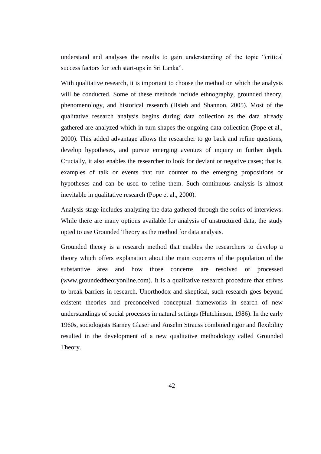understand and analyses the results to gain understanding of the topic "critical success factors for tech start-ups in Sri Lanka".

With qualitative research, it is important to choose the method on which the analysis will be conducted. Some of these methods include ethnography, grounded theory, phenomenology, and historical research (Hsieh and Shannon, 2005). Most of the qualitative research analysis begins during data collection as the data already gathered are analyzed which in turn shapes the ongoing data collection (Pope et al., 2000). This added advantage allows the researcher to go back and refine questions, develop hypotheses, and pursue emerging avenues of inquiry in further depth. Crucially, it also enables the researcher to look for deviant or negative cases; that is, examples of talk or events that run counter to the emerging propositions or hypotheses and can be used to refine them. Such continuous analysis is almost inevitable in qualitative research (Pope et al., 2000).

Analysis stage includes analyzing the data gathered through the series of interviews. While there are many options available for analysis of unstructured data, the study opted to use Grounded Theory as the method for data analysis.

Grounded theory is a research method that enables the researchers to develop a theory which offers explanation about the main concerns of the population of the substantive area and how those concerns are resolved or processed (www.groundedtheoryonline.com). It is a qualitative research procedure that strives to break barriers in research. Unorthodox and skeptical, such research goes beyond existent theories and preconceived conceptual frameworks in search of new understandings of social processes in natural settings (Hutchinson, 1986). In the early 1960s, sociologists Barney Glaser and Anselm Strauss combined rigor and flexibility resulted in the development of a new qualitative methodology called Grounded Theory.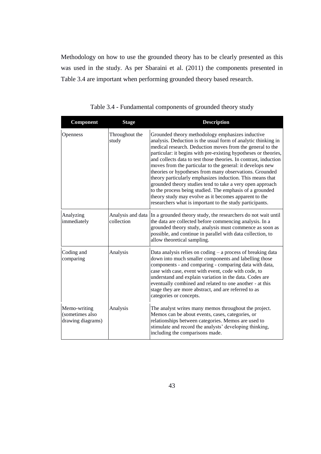Methodology on how to use the grounded theory has to be clearly presented as this was used in the study. As per Sbaraini et al. (2011) the components presented in Table 3.4 are important when performing grounded theory based research.

| Component                                            | <b>Stage</b>            | <b>Description</b>                                                                                                                                                                                                                                                                                                                                                                                                                                                                                                                                                                                                                                                                                                                                       |
|------------------------------------------------------|-------------------------|----------------------------------------------------------------------------------------------------------------------------------------------------------------------------------------------------------------------------------------------------------------------------------------------------------------------------------------------------------------------------------------------------------------------------------------------------------------------------------------------------------------------------------------------------------------------------------------------------------------------------------------------------------------------------------------------------------------------------------------------------------|
| Openness                                             | Throughout the<br>study | Grounded theory methodology emphasizes inductive<br>analysis. Deduction is the usual form of analytic thinking in<br>medical research. Deduction moves from the general to the<br>particular: it begins with pre-existing hypotheses or theories,<br>and collects data to test those theories. In contrast, induction<br>moves from the particular to the general: it develops new<br>theories or hypotheses from many observations. Grounded<br>theory particularly emphasizes induction. This means that<br>grounded theory studies tend to take a very open approach<br>to the process being studied. The emphasis of a grounded<br>theory study may evolve as it becomes apparent to the<br>researchers what is important to the study participants. |
| Analyzing<br>immediately                             | collection              | Analysis and data In a grounded theory study, the researchers do not wait until<br>the data are collected before commencing analysis. In a<br>grounded theory study, analysis must commence as soon as<br>possible, and continue in parallel with data collection, to<br>allow theoretical sampling.                                                                                                                                                                                                                                                                                                                                                                                                                                                     |
| Coding and<br>comparing                              | Analysis                | Data analysis relies on coding – a process of breaking data<br>down into much smaller components and labelling those<br>components - and comparing - comparing data with data,<br>case with case, event with event, code with code, to<br>understand and explain variation in the data. Codes are<br>eventually combined and related to one another - at this<br>stage they are more abstract, and are referred to as<br>categories or concepts.                                                                                                                                                                                                                                                                                                         |
| Memo-writing<br>(sometimes also<br>drawing diagrams) | Analysis                | The analyst writes many memos throughout the project.<br>Memos can be about events, cases, categories, or<br>relationships between categories. Memos are used to<br>stimulate and record the analysts' developing thinking,<br>including the comparisons made.                                                                                                                                                                                                                                                                                                                                                                                                                                                                                           |

Table 3.4 - Fundamental components of grounded theory study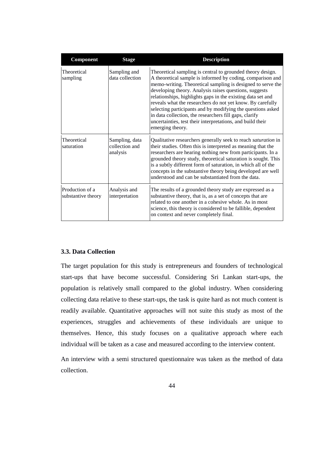| Component                             | <b>Stage</b>                                 | <b>Description</b>                                                                                                                                                                                                                                                                                                                                                                                                                                                                                                                                                                        |
|---------------------------------------|----------------------------------------------|-------------------------------------------------------------------------------------------------------------------------------------------------------------------------------------------------------------------------------------------------------------------------------------------------------------------------------------------------------------------------------------------------------------------------------------------------------------------------------------------------------------------------------------------------------------------------------------------|
| Theoretical<br>sampling               | Sampling and<br>data collection              | Theoretical sampling is central to grounded theory design.<br>A theoretical sample is informed by coding, comparison and<br>memo-writing. Theoretical sampling is designed to serve the<br>developing theory. Analysis raises questions, suggests<br>relationships, highlights gaps in the existing data set and<br>reveals what the researchers do not yet know. By carefully<br>selecting participants and by modifying the questions asked<br>in data collection, the researchers fill gaps, clarify<br>uncertainties, test their interpretations, and build their<br>emerging theory. |
| Theoretical<br>saturation             | Sampling, data<br>collection and<br>analysis | Qualitative researchers generally seek to reach saturation in<br>their studies. Often this is interpreted as meaning that the<br>researchers are hearing nothing new from participants. In a<br>grounded theory study, theoretical saturation is sought. This<br>is a subtly different form of saturation, in which all of the<br>concepts in the substantive theory being developed are well<br>understood and can be substantiated from the data.                                                                                                                                       |
| Production of a<br>substantive theory | Analysis and<br>interpretation               | The results of a grounded theory study are expressed as a<br>substantive theory, that is, as a set of concepts that are<br>related to one another in a cohesive whole. As in most<br>science, this theory is considered to be fallible, dependent<br>on context and never completely final.                                                                                                                                                                                                                                                                                               |

### **3.3. Data Collection**

The target population for this study is entrepreneurs and founders of technological start-ups that have become successful. Considering Sri Lankan start-ups, the population is relatively small compared to the global industry. When considering collecting data relative to these start-ups, the task is quite hard as not much content is readily available. Quantitative approaches will not suite this study as most of the experiences, struggles and achievements of these individuals are unique to themselves. Hence, this study focuses on a qualitative approach where each individual will be taken as a case and measured according to the interview content.

An interview with a semi structured questionnaire was taken as the method of data collection.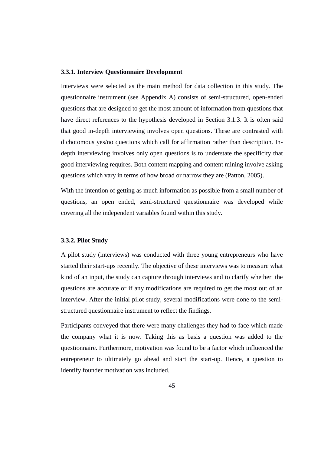#### **3.3.1. Interview Questionnaire Development**

Interviews were selected as the main method for data collection in this study. The questionnaire instrument (see Appendix A) consists of semi-structured, open-ended questions that are designed to get the most amount of information from questions that have direct references to the hypothesis developed in Section 3.1.3. It is often said that good in-depth interviewing involves open questions. These are contrasted with dichotomous yes/no questions which call for affirmation rather than description. Indepth interviewing involves only open questions is to understate the specificity that good interviewing requires. Both content mapping and content mining involve asking questions which vary in terms of how broad or narrow they are (Patton, 2005).

With the intention of getting as much information as possible from a small number of questions, an open ended, semi-structured questionnaire was developed while covering all the independent variables found within this study.

#### **3.3.2. Pilot Study**

A pilot study (interviews) was conducted with three young entrepreneurs who have started their start-ups recently. The objective of these interviews was to measure what kind of an input, the study can capture through interviews and to clarify whether the questions are accurate or if any modifications are required to get the most out of an interview. After the initial pilot study, several modifications were done to the semistructured questionnaire instrument to reflect the findings.

Participants conveyed that there were many challenges they had to face which made the company what it is now. Taking this as basis a question was added to the questionnaire. Furthermore, motivation was found to be a factor which influenced the entrepreneur to ultimately go ahead and start the start-up. Hence, a question to identify founder motivation was included.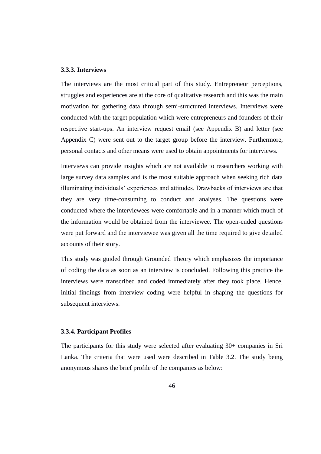### **3.3.3. Interviews**

The interviews are the most critical part of this study. Entrepreneur perceptions, struggles and experiences are at the core of qualitative research and this was the main motivation for gathering data through semi-structured interviews. Interviews were conducted with the target population which were entrepreneurs and founders of their respective start-ups. An interview request email (see Appendix B) and letter (see Appendix C) were sent out to the target group before the interview. Furthermore, personal contacts and other means were used to obtain appointments for interviews.

Interviews can provide insights which are not available to researchers working with large survey data samples and is the most suitable approach when seeking rich data illuminating individuals" experiences and attitudes. Drawbacks of interviews are that they are very time-consuming to conduct and analyses. The questions were conducted where the interviewees were comfortable and in a manner which much of the information would be obtained from the interviewee. The open-ended questions were put forward and the interviewee was given all the time required to give detailed accounts of their story.

This study was guided through Grounded Theory which emphasizes the importance of coding the data as soon as an interview is concluded. Following this practice the interviews were transcribed and coded immediately after they took place. Hence, initial findings from interview coding were helpful in shaping the questions for subsequent interviews.

#### **3.3.4. Participant Profiles**

The participants for this study were selected after evaluating 30+ companies in Sri Lanka. The criteria that were used were described in Table 3.2. The study being anonymous shares the brief profile of the companies as below: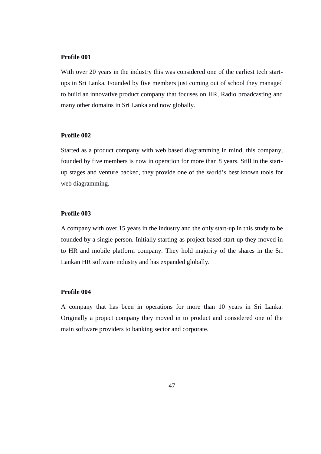### **Profile 001**

With over 20 years in the industry this was considered one of the earliest tech startups in Sri Lanka. Founded by five members just coming out of school they managed to build an innovative product company that focuses on HR, Radio broadcasting and many other domains in Sri Lanka and now globally.

### **Profile 002**

Started as a product company with web based diagramming in mind, this company, founded by five members is now in operation for more than 8 years. Still in the startup stages and venture backed, they provide one of the world"s best known tools for web diagramming.

#### **Profile 003**

A company with over 15 years in the industry and the only start-up in this study to be founded by a single person. Initially starting as project based start-up they moved in to HR and mobile platform company. They hold majority of the shares in the Sri Lankan HR software industry and has expanded globally.

#### **Profile 004**

A company that has been in operations for more than 10 years in Sri Lanka. Originally a project company they moved in to product and considered one of the main software providers to banking sector and corporate.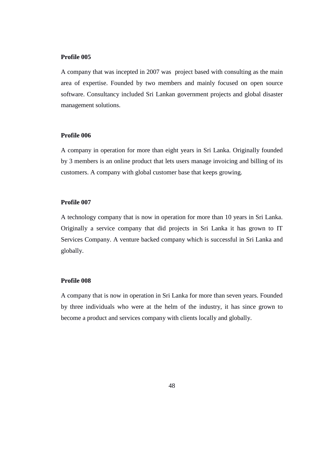### **Profile 005**

A company that was incepted in 2007 was project based with consulting as the main area of expertise. Founded by two members and mainly focused on open source software. Consultancy included Sri Lankan government projects and global disaster management solutions.

### **Profile 006**

A company in operation for more than eight years in Sri Lanka. Originally founded by 3 members is an online product that lets users manage invoicing and billing of its customers. A company with global customer base that keeps growing.

#### **Profile 007**

A technology company that is now in operation for more than 10 years in Sri Lanka. Originally a service company that did projects in Sri Lanka it has grown to IT Services Company. A venture backed company which is successful in Sri Lanka and globally.

### **Profile 008**

A company that is now in operation in Sri Lanka for more than seven years. Founded by three individuals who were at the helm of the industry, it has since grown to become a product and services company with clients locally and globally.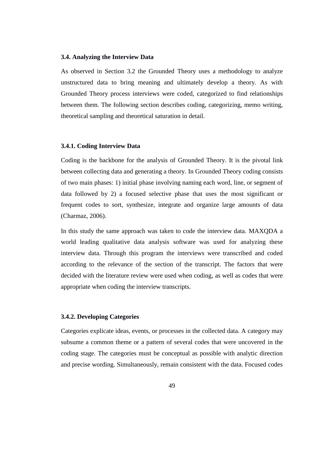#### **3.4. Analyzing the Interview Data**

As observed in Section 3.2 the Grounded Theory uses a methodology to analyze unstructured data to bring meaning and ultimately develop a theory. As with Grounded Theory process interviews were coded, categorized to find relationships between them. The following section describes coding, categorizing, memo writing, theoretical sampling and theoretical saturation in detail.

#### **3.4.1. Coding Interview Data**

Coding is the backbone for the analysis of Grounded Theory. It is the pivotal link between collecting data and generating a theory. In Grounded Theory coding consists of two main phases: 1) initial phase involving naming each word, line, or segment of data followed by 2) a focused selective phase that uses the most significant or frequent codes to sort, synthesize, integrate and organize large amounts of data (Charmaz, 2006).

In this study the same approach was taken to code the interview data. MAXQDA a world leading qualitative data analysis software was used for analyzing these interview data. Through this program the interviews were transcribed and coded according to the relevance of the section of the transcript. The factors that were decided with the literature review were used when coding, as well as codes that were appropriate when coding the interview transcripts.

#### **3.4.2. Developing Categories**

Categories explicate ideas, events, or processes in the collected data. A category may subsume a common theme or a pattern of several codes that were uncovered in the coding stage. The categories must be conceptual as possible with analytic direction and precise wording. Simultaneously, remain consistent with the data. Focused codes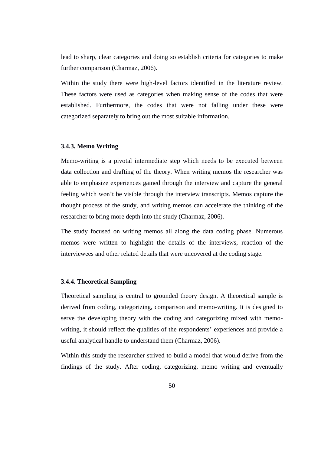lead to sharp, clear categories and doing so establish criteria for categories to make further comparison (Charmaz, 2006).

Within the study there were high-level factors identified in the literature review. These factors were used as categories when making sense of the codes that were established. Furthermore, the codes that were not falling under these were categorized separately to bring out the most suitable information.

### **3.4.3. Memo Writing**

Memo-writing is a pivotal intermediate step which needs to be executed between data collection and drafting of the theory. When writing memos the researcher was able to emphasize experiences gained through the interview and capture the general feeling which won"t be visible through the interview transcripts. Memos capture the thought process of the study, and writing memos can accelerate the thinking of the researcher to bring more depth into the study (Charmaz, 2006).

The study focused on writing memos all along the data coding phase. Numerous memos were written to highlight the details of the interviews, reaction of the interviewees and other related details that were uncovered at the coding stage.

#### **3.4.4. Theoretical Sampling**

Theoretical sampling is central to grounded theory design. A theoretical sample is derived from coding, categorizing, comparison and memo-writing. It is designed to serve the developing theory with the coding and categorizing mixed with memowriting, it should reflect the qualities of the respondents' experiences and provide a useful analytical handle to understand them (Charmaz, 2006).

Within this study the researcher strived to build a model that would derive from the findings of the study. After coding, categorizing, memo writing and eventually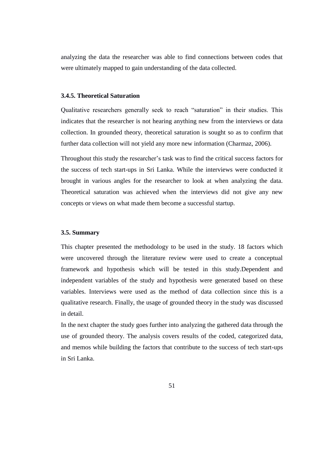analyzing the data the researcher was able to find connections between codes that were ultimately mapped to gain understanding of the data collected.

### **3.4.5. Theoretical Saturation**

Qualitative researchers generally seek to reach "saturation" in their studies. This indicates that the researcher is not hearing anything new from the interviews or data collection. In grounded theory, theoretical saturation is sought so as to confirm that further data collection will not yield any more new information (Charmaz, 2006).

Throughout this study the researcher"s task was to find the critical success factors for the success of tech start-ups in Sri Lanka. While the interviews were conducted it brought in various angles for the researcher to look at when analyzing the data. Theoretical saturation was achieved when the interviews did not give any new concepts or views on what made them become a successful startup.

#### **3.5. Summary**

This chapter presented the methodology to be used in the study. 18 factors which were uncovered through the literature review were used to create a conceptual framework and hypothesis which will be tested in this study.Dependent and independent variables of the study and hypothesis were generated based on these variables. Interviews were used as the method of data collection since this is a qualitative research. Finally, the usage of grounded theory in the study was discussed in detail.

In the next chapter the study goes further into analyzing the gathered data through the use of grounded theory. The analysis covers results of the coded, categorized data, and memos while building the factors that contribute to the success of tech start-ups in Sri Lanka.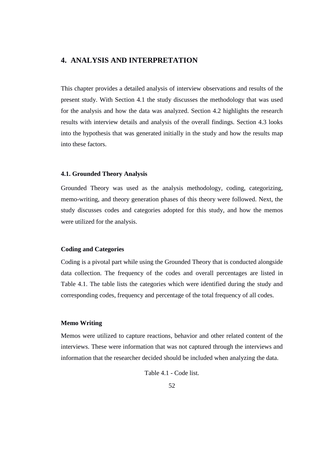# **4. ANALYSIS AND INTERPRETATION**

This chapter provides a detailed analysis of interview observations and results of the present study. With Section 4.1 the study discusses the methodology that was used for the analysis and how the data was analyzed. Section 4.2 highlights the research results with interview details and analysis of the overall findings. Section 4.3 looks into the hypothesis that was generated initially in the study and how the results map into these factors.

### **4.1. Grounded Theory Analysis**

Grounded Theory was used as the analysis methodology, coding, categorizing, memo-writing, and theory generation phases of this theory were followed. Next, the study discusses codes and categories adopted for this study, and how the memos were utilized for the analysis.

### **Coding and Categories**

Coding is a pivotal part while using the Grounded Theory that is conducted alongside data collection. The frequency of the codes and overall percentages are listed in Table 4.1. The table lists the categories which were identified during the study and corresponding codes, frequency and percentage of the total frequency of all codes.

#### **Memo Writing**

Memos were utilized to capture reactions, behavior and other related content of the interviews. These were information that was not captured through the interviews and information that the researcher decided should be included when analyzing the data.

Table 4.1 - Code list.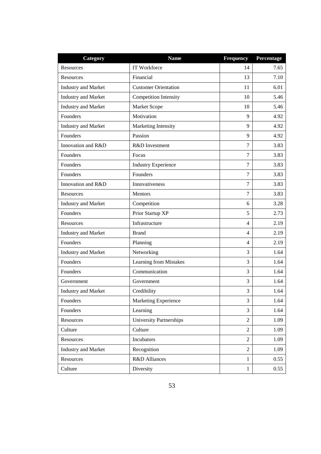| Category                   | <b>Name</b>                 | <b>Frequency</b> | Percentage |
|----------------------------|-----------------------------|------------------|------------|
| <b>Resources</b>           | IT Workforce                | 14               | 7.65       |
| Resources                  | Financial                   | 13               | 7.10       |
| <b>Industry and Market</b> | <b>Customer Orientation</b> | 11               | 6.01       |
| <b>Industry and Market</b> | Competition Intensity       | 10               | 5.46       |
| <b>Industry and Market</b> | Market Scope                | 10               | 5.46       |
| Founders                   | Motivation                  | 9                | 4.92       |
| <b>Industry and Market</b> | Marketing Intensity         | 9                | 4.92       |
| Founders                   | Passion                     | 9                | 4.92       |
| Innovation and R&D         | R&D Investment              | 7                | 3.83       |
| Founders                   | Focus                       | 7                | 3.83       |
| Founders                   | <b>Industry Experience</b>  | 7                | 3.83       |
| Founders                   | Founders                    | 7                | 3.83       |
| Innovation and R&D         | Innovativeness              | 7                | 3.83       |
| Resources                  | Mentors                     | 7                | 3.83       |
| <b>Industry and Market</b> | Competition                 | 6                | 3.28       |
| Founders                   | Prior Startup XP            | 5                | 2.73       |
| Resources                  | Infrastructure              | $\overline{4}$   | 2.19       |
| <b>Industry and Market</b> | <b>Brand</b>                | $\overline{4}$   | 2.19       |
| Founders                   | Planning                    | $\overline{4}$   | 2.19       |
| <b>Industry and Market</b> | Networking                  | 3                | 1.64       |
| Founders                   | Learning from Mistakes      | 3                | 1.64       |
| Founders                   | Communication               | 3                | 1.64       |
| Government                 | Government                  | 3                | 1.64       |
| <b>Industry and Market</b> | Credibility                 | 3                | 1.64       |
| Founders                   | Marketing Experience        | 3                | 1.64       |
| Founders                   | Learning                    | 3                | 1.64       |
| Resources                  | University Partnerships     | $\overline{2}$   | 1.09       |
| Culture                    | Culture                     | $\overline{2}$   | 1.09       |
| Resources                  | Incubators                  | $\overline{2}$   | 1.09       |
| <b>Industry and Market</b> | Recognition                 | $\overline{2}$   | 1.09       |
| Resources                  | R&D Alliances               | 1                | 0.55       |
| Culture                    | Diversity                   | 1                | 0.55       |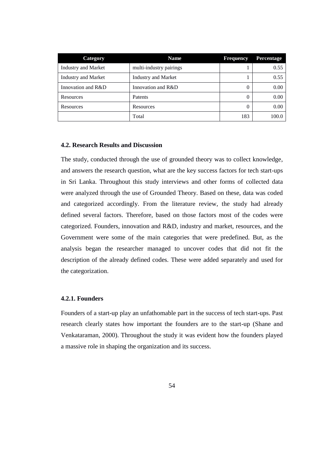| <b>Category</b>            | <b>Name</b>                | <b>Frequency</b> | Percentage |
|----------------------------|----------------------------|------------------|------------|
| <b>Industry and Market</b> | multi-industry pairings    |                  | 0.55       |
| <b>Industry and Market</b> | <b>Industry and Market</b> |                  | 0.55       |
| Innovation and R&D         | Innovation and R&D         | 0                | 0.00       |
| Resources                  | Patents                    | 0                | 0.00       |
| Resources                  | Resources                  | 0                | 0.00       |
|                            | Total                      | 183              | 100.0      |

#### **4.2. Research Results and Discussion**

The study, conducted through the use of grounded theory was to collect knowledge, and answers the research question, what are the key success factors for tech start-ups in Sri Lanka. Throughout this study interviews and other forms of collected data were analyzed through the use of Grounded Theory. Based on these, data was coded and categorized accordingly. From the literature review, the study had already defined several factors. Therefore, based on those factors most of the codes were categorized. Founders, innovation and R&D, industry and market, resources, and the Government were some of the main categories that were predefined. But, as the analysis began the researcher managed to uncover codes that did not fit the description of the already defined codes. These were added separately and used for the categorization.

### **4.2.1. Founders**

Founders of a start-up play an unfathomable part in the success of tech start-ups. Past research clearly states how important the founders are to the start-up (Shane and Venkataraman, 2000). Throughout the study it was evident how the founders played a massive role in shaping the organization and its success.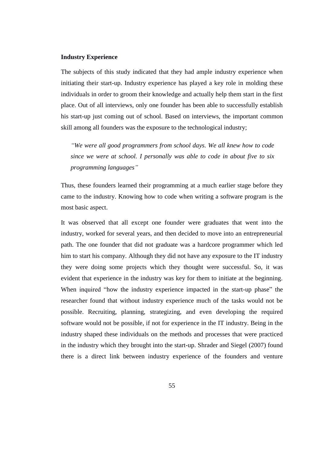#### **Industry Experience**

The subjects of this study indicated that they had ample industry experience when initiating their start-up. Industry experience has played a key role in molding these individuals in order to groom their knowledge and actually help them start in the first place. Out of all interviews, only one founder has been able to successfully establish his start-up just coming out of school. Based on interviews, the important common skill among all founders was the exposure to the technological industry;

*"We were all good programmers from school days. We all knew how to code since we were at school. I personally was able to code in about five to six programming languages"*

Thus, these founders learned their programming at a much earlier stage before they came to the industry. Knowing how to code when writing a software program is the most basic aspect.

It was observed that all except one founder were graduates that went into the industry, worked for several years, and then decided to move into an entrepreneurial path. The one founder that did not graduate was a hardcore programmer which led him to start his company. Although they did not have any exposure to the IT industry they were doing some projects which they thought were successful. So, it was evident that experience in the industry was key for them to initiate at the beginning. When inquired "how the industry experience impacted in the start-up phase" the researcher found that without industry experience much of the tasks would not be possible. Recruiting, planning, strategizing, and even developing the required software would not be possible, if not for experience in the IT industry. Being in the industry shaped these individuals on the methods and processes that were practiced in the industry which they brought into the start-up. Shrader and Siegel (2007) found there is a direct link between industry experience of the founders and venture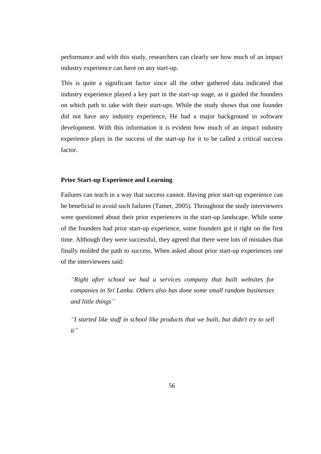performance and with this study, researchers can clearly see how much of an impact industry experience can have on any start-up.

This is quite a significant factor since all the other gathered data indicated that industry experience played a key part in the start-up stage, as it guided the founders on which path to take with their start-ups. While the study shows that one founder did not have any industry experience, He had a major background in software development. With this information it is evident how much of an impact industry experience plays in the success of the start-up for it to be called a critical success factor.

### **Prior Start-up Experience and Learning**

Failures can teach in a way that success cannot. Having prior start-up experience can be beneficial to avoid such failures (Tamer, 2005). Throughout the study interviewers were questioned about their prior experiences in the start-up landscape. While some of the founders had prior start-up experience, some founders got it right on the first time. Although they were successful, they agreed that there were lots of mistakes that finally molded the path to success. When asked about prior start-up experiences one of the interviewees said:

*"Right after school we had a services company that built websites for companies in Sri Lanka. Others also has done some small random businesses and little things"*

*"I started like stuff in school like products that we built, but didn't try to sell it"*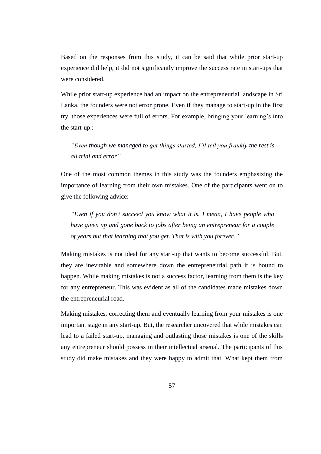Based on the responses from this study, it can be said that while prior start-up experience did help, it did not significantly improve the success rate in start-ups that were considered.

While prior start-up experience had an impact on the entrepreneurial landscape in Sri Lanka, the founders were not error prone. Even if they manage to start-up in the first try, those experiences were full of errors. For example, bringing your learning"s into the start-up.:

*"Even though we managed to get things started, I'll tell you frankly the rest is all trial and error"*

One of the most common themes in this study was the founders emphasizing the importance of learning from their own mistakes. One of the participants went on to give the following advice:

*"Even if you don't succeed you know what it is. I mean, I have people who have given up and gone back to jobs after being an entrepreneur for a couple of years but that learning that you get. That is with you forever."*

Making mistakes is not ideal for any start-up that wants to become successful. But, they are inevitable and somewhere down the entrepreneurial path it is bound to happen. While making mistakes is not a success factor, learning from them is the key for any entrepreneur. This was evident as all of the candidates made mistakes down the entrepreneurial road.

Making mistakes, correcting them and eventually learning from your mistakes is one important stage in any start-up. But, the researcher uncovered that while mistakes can lead to a failed start-up, managing and outlasting those mistakes is one of the skills any entrepreneur should possess in their intellectual arsenal. The participants of this study did make mistakes and they were happy to admit that. What kept them from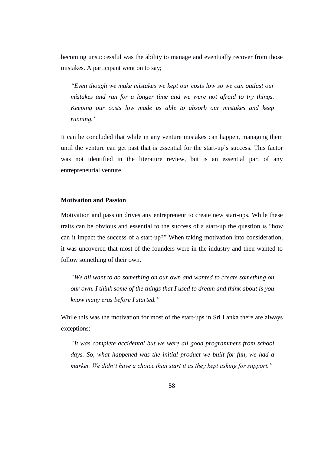becoming unsuccessful was the ability to manage and eventually recover from those mistakes. A participant went on to say;

*"Even though we make mistakes we kept our costs low so we can outlast our mistakes and run for a longer time and we were not afraid to try things. Keeping our costs low made us able to absorb our mistakes and keep running."*

It can be concluded that while in any venture mistakes can happen, managing them until the venture can get past that is essential for the start-up"s success. This factor was not identified in the literature review, but is an essential part of any entrepreneurial venture.

### **Motivation and Passion**

Motivation and passion drives any entrepreneur to create new start-ups. While these traits can be obvious and essential to the success of a start-up the question is "how can it impact the success of a start-up?" When taking motivation into consideration, it was uncovered that most of the founders were in the industry and then wanted to follow something of their own.

*"We all want to do something on our own and wanted to create something on our own. I think some of the things that I used to dream and think about is you know many eras before I started."*

While this was the motivation for most of the start-ups in Sri Lanka there are always exceptions:

*"It was complete accidental but we were all good programmers from school days. So, what happened was the initial product we built for fun, we had a market. We didn't have a choice than start it as they kept asking for support."*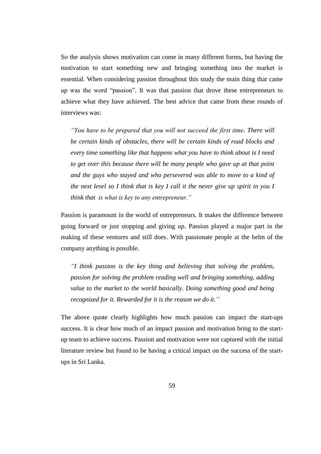So the analysis shows motivation can come in many different forms, but having the motivation to start something new and bringing something into the market is essential. When considering passion throughout this study the main thing that came up was the word "passion". It was that passion that drove these entrepreneurs to achieve what they have achieved. The best advice that came from these rounds of interviews was:

*"You have to be prepared that you will not succeed the first time. There will be certain kinds of obstacles, there will be certain kinds of road blocks and every time something like that happens what you have to think about is I need to get over this because there will be many people who gave up at that point and the guys who stayed and who persevered was able to move to a kind of the next level so I think that is key I call it the never give up spirit in you I think that is what is key to any entrepreneur."*

Passion is paramount in the world of entrepreneurs. It makes the difference between going forward or just stopping and giving up. Passion played a major part in the making of these ventures and still does. With passionate people at the helm of the company anything is possible.

*"I think passion is the key thing and believing that solving the problem, passion for solving the problem reading well and bringing something, adding value to the market to the world basically. Doing something good and being recognized for it. Rewarded for it is the reason we do it."*

The above quote clearly highlights how much passion can impact the start-ups success. It is clear how much of an impact passion and motivation bring to the startup team to achieve success. Passion and motivation were not captured with the initial literature review but found to be having a critical impact on the success of the startups in Sri Lanka.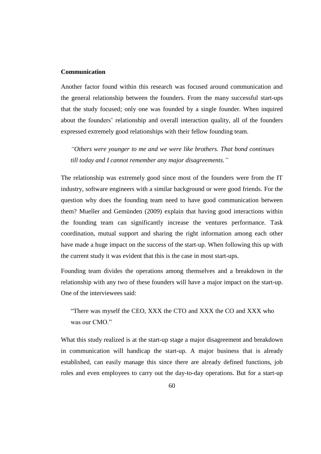#### **Communication**

Another factor found within this research was focused around communication and the general relationship between the founders. From the many successful start-ups that the study focused; only one was founded by a single founder. When inquired about the founders' relationship and overall interaction quality, all of the founders expressed extremely good relationships with their fellow founding team.

*"Others were younger to me and we were like brothers. That bond continues till today and I cannot remember any major disagreements."*

The relationship was extremely good since most of the founders were from the IT industry, software engineers with a similar background or were good friends. For the question why does the founding team need to have good communication between them? Mueller and Gemünden (2009) explain that having good interactions within the founding team can significantly increase the ventures performance. Task coordination, mutual support and sharing the right information among each other have made a huge impact on the success of the start-up. When following this up with the current study it was evident that this is the case in most start-ups.

Founding team divides the operations among themselves and a breakdown in the relationship with any two of these founders will have a major impact on the start-up. One of the interviewees said:

"There was myself the CEO, XXX the CTO and XXX the CO and XXX who was our CMO."

What this study realized is at the start-up stage a major disagreement and breakdown in communication will handicap the start-up. A major business that is already established, can easily manage this since there are already defined functions, job roles and even employees to carry out the day-to-day operations. But for a start-up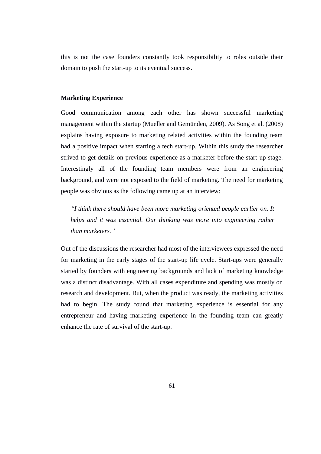this is not the case founders constantly took responsibility to roles outside their domain to push the start-up to its eventual success.

## **Marketing Experience**

Good communication among each other has shown successful marketing management within the startup (Mueller and Gemünden, 2009). As Song et al. (2008) explains having exposure to marketing related activities within the founding team had a positive impact when starting a tech start-up. Within this study the researcher strived to get details on previous experience as a marketer before the start-up stage. Interestingly all of the founding team members were from an engineering background, and were not exposed to the field of marketing. The need for marketing people was obvious as the following came up at an interview:

*"I think there should have been more marketing oriented people earlier on. It helps and it was essential. Our thinking was more into engineering rather than marketers."*

Out of the discussions the researcher had most of the interviewees expressed the need for marketing in the early stages of the start-up life cycle. Start-ups were generally started by founders with engineering backgrounds and lack of marketing knowledge was a distinct disadvantage. With all cases expenditure and spending was mostly on research and development. But, when the product was ready, the marketing activities had to begin. The study found that marketing experience is essential for any entrepreneur and having marketing experience in the founding team can greatly enhance the rate of survival of the start-up.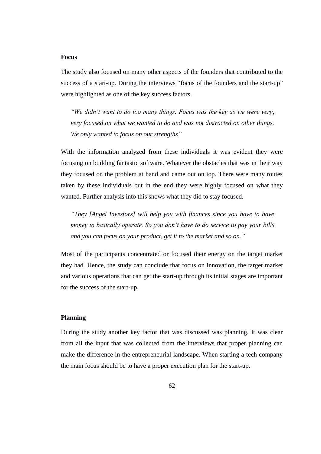### **Focus**

The study also focused on many other aspects of the founders that contributed to the success of a start-up. During the interviews "focus of the founders and the start-up" were highlighted as one of the key success factors.

*"We didn't want to do too many things. Focus was the key as we were very, very focused on what we wanted to do and was not distracted on other things. We only wanted to focus on our strengths"*

With the information analyzed from these individuals it was evident they were focusing on building fantastic software. Whatever the obstacles that was in their way they focused on the problem at hand and came out on top. There were many routes taken by these individuals but in the end they were highly focused on what they wanted. Further analysis into this shows what they did to stay focused.

*"They [Angel Investors] will help you with finances since you have to have money to basically operate. So you don't have to do service to pay your bills and you can focus on your product, get it to the market and so on."*

Most of the participants concentrated or focused their energy on the target market they had. Hence, the study can conclude that focus on innovation, the target market and various operations that can get the start-up through its initial stages are important for the success of the start-up.

### **Planning**

During the study another key factor that was discussed was planning. It was clear from all the input that was collected from the interviews that proper planning can make the difference in the entrepreneurial landscape. When starting a tech company the main focus should be to have a proper execution plan for the start-up.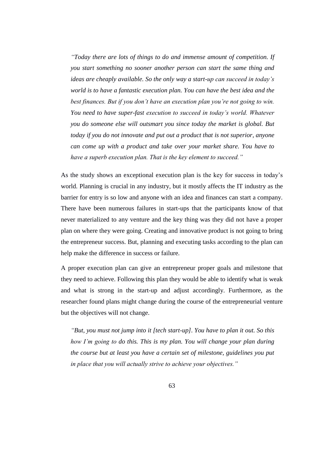*"Today there are lots of things to do and immense amount of competition. If you start something no sooner another person can start the same thing and ideas are cheaply available. So the only way a start-up can succeed in today's world is to have a fantastic execution plan. You can have the best idea and the best finances. But if you don't have an execution plan you're not going to win. You need to have super-fast execution to succeed in today's world. Whatever you do someone else will outsmart you since today the market is global. But today if you do not innovate and put out a product that is not superior, anyone can come up with a product and take over your market share. You have to have a superb execution plan. That is the key element to succeed."*

As the study shows an exceptional execution plan is the key for success in today"s world. Planning is crucial in any industry, but it mostly affects the IT industry as the barrier for entry is so low and anyone with an idea and finances can start a company. There have been numerous failures in start-ups that the participants know of that never materialized to any venture and the key thing was they did not have a proper plan on where they were going. Creating and innovative product is not going to bring the entrepreneur success. But, planning and executing tasks according to the plan can help make the difference in success or failure.

A proper execution plan can give an entrepreneur proper goals and milestone that they need to achieve. Following this plan they would be able to identify what is weak and what is strong in the start-up and adjust accordingly. Furthermore, as the researcher found plans might change during the course of the entrepreneurial venture but the objectives will not change.

*"But, you must not jump into it [tech start-up]. You have to plan it out. So this how I'm going to do this. This is my plan. You will change your plan during the course but at least you have a certain set of milestone, guidelines you put in place that you will actually strive to achieve your objectives."*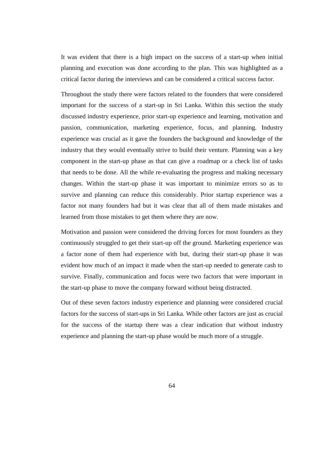It was evident that there is a high impact on the success of a start-up when initial planning and execution was done according to the plan. This was highlighted as a critical factor during the interviews and can be considered a critical success factor.

Throughout the study there were factors related to the founders that were considered important for the success of a start-up in Sri Lanka. Within this section the study discussed industry experience, prior start-up experience and learning, motivation and passion, communication, marketing experience, focus, and planning. Industry experience was crucial as it gave the founders the background and knowledge of the industry that they would eventually strive to build their venture. Planning was a key component in the start-up phase as that can give a roadmap or a check list of tasks that needs to be done. All the while re-evaluating the progress and making necessary changes. Within the start-up phase it was important to minimize errors so as to survive and planning can reduce this considerably. Prior startup experience was a factor not many founders had but it was clear that all of them made mistakes and learned from those mistakes to get them where they are now.

Motivation and passion were considered the driving forces for most founders as they continuously struggled to get their start-up off the ground. Marketing experience was a factor none of them had experience with but, during their start-up phase it was evident how much of an impact it made when the start-up needed to generate cash to survive. Finally, communication and focus were two factors that were important in the start-up phase to move the company forward without being distracted.

Out of these seven factors industry experience and planning were considered crucial factors for the success of start-ups in Sri Lanka. While other factors are just as crucial for the success of the startup there was a clear indication that without industry experience and planning the start-up phase would be much more of a struggle.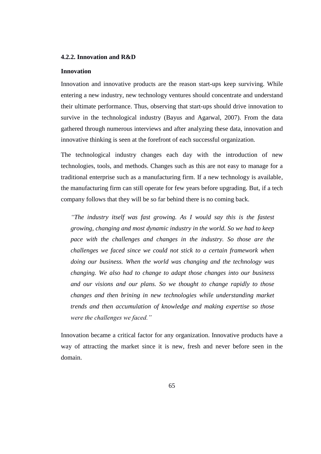# **4.2.2. Innovation and R&D**

### **Innovation**

Innovation and innovative products are the reason start-ups keep surviving. While entering a new industry, new technology ventures should concentrate and understand their ultimate performance. Thus, observing that start-ups should drive innovation to survive in the technological industry (Bayus and Agarwal, 2007). From the data gathered through numerous interviews and after analyzing these data, innovation and innovative thinking is seen at the forefront of each successful organization.

The technological industry changes each day with the introduction of new technologies, tools, and methods. Changes such as this are not easy to manage for a traditional enterprise such as a manufacturing firm. If a new technology is available, the manufacturing firm can still operate for few years before upgrading. But, if a tech company follows that they will be so far behind there is no coming back.

*"The industry itself was fast growing. As I would say this is the fastest growing, changing and most dynamic industry in the world. So we had to keep pace with the challenges and changes in the industry. So those are the challenges we faced since we could not stick to a certain framework when doing our business. When the world was changing and the technology was changing. We also had to change to adapt those changes into our business and our visions and our plans. So we thought to change rapidly to those changes and then brining in new technologies while understanding market trends and then accumulation of knowledge and making expertise so those were the challenges we faced."*

Innovation became a critical factor for any organization. Innovative products have a way of attracting the market since it is new, fresh and never before seen in the domain.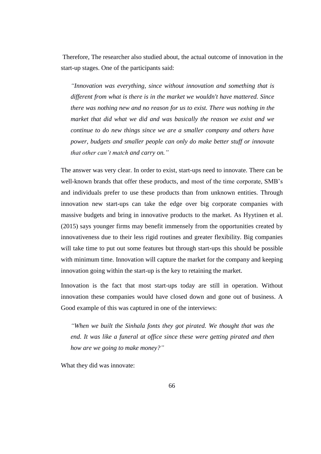Therefore, The researcher also studied about, the actual outcome of innovation in the start-up stages. One of the participants said:

*"Innovation was everything, since without innovation and something that is different from what is there is in the market we wouldn't have mattered. Since there was nothing new and no reason for us to exist. There was nothing in the market that did what we did and was basically the reason we exist and we continue to do new things since we are a smaller company and others have power, budgets and smaller people can only do make better stuff or innovate that other can't match and carry on."*

The answer was very clear. In order to exist, start-ups need to innovate. There can be well-known brands that offer these products, and most of the time corporate, SMB"s and individuals prefer to use these products than from unknown entities. Through innovation new start-ups can take the edge over big corporate companies with massive budgets and bring in innovative products to the market. As Hyytinen et al. (2015) says younger firms may benefit immensely from the opportunities created by innovativeness due to their less rigid routines and greater flexibility. Big companies will take time to put out some features but through start-ups this should be possible with minimum time. Innovation will capture the market for the company and keeping innovation going within the start-up is the key to retaining the market.

Innovation is the fact that most start-ups today are still in operation. Without innovation these companies would have closed down and gone out of business. A Good example of this was captured in one of the interviews:

*"When we built the Sinhala fonts they got pirated. We thought that was the end. It was like a funeral at office since these were getting pirated and then how are we going to make money?"*

What they did was innovate: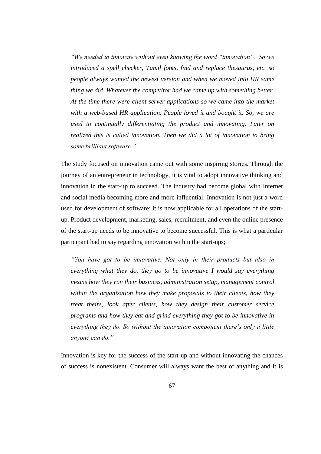*"We needed to innovate without even knowing the word "innovation". So we introduced a spell checker, Tamil fonts, find and replace thesaurus, etc. so people always wanted the newest version and when we moved into HR same thing we did. Whatever the competitor had we came up with something better. At the time there were client-server applications so we came into the market with a web-based HR application. People loved it and bought it. So, we are used to continually differentiating the product and innovating. Later on realized this is called innovation. Then we did a lot of innovation to bring some brilliant software."*

The study focused on innovation came out with some inspiring stories. Through the journey of an entrepreneur in technology, it is vital to adopt innovative thinking and innovation in the start-up to succeed. The industry had become global with Internet and social media becoming more and more influential. Innovation is not just a word used for development of software; it is now applicable for all operations of the startup. Product development, marketing, sales, recruitment, and even the online presence of the start-up needs to be innovative to become successful. This is what a particular participant had to say regarding innovation within the start-ups;

*"You have got to be innovative. Not only in their products but also in everything what they do. they go to be innovative I would say everything means how they run their business, administration setup, management control within the organization how they make proposals to their clients, how they treat theirs, look after clients, how they design their customer service programs and how they eat and grind everything they got to be innovative in everything they do. So without the innovation component there's only a little anyone can do."*

Innovation is key for the success of the start-up and without innovating the chances of success is nonexistent. Consumer will always want the best of anything and it is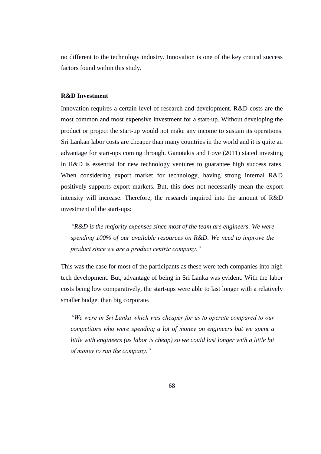no different to the technology industry. Innovation is one of the key critical success factors found within this study.

### **R&D Investment**

Innovation requires a certain level of research and development. R&D costs are the most common and most expensive investment for a start-up. Without developing the product or project the start-up would not make any income to sustain its operations. Sri Lankan labor costs are cheaper than many countries in the world and it is quite an advantage for start-ups coming through. Ganotakis and Love (2011) stated investing in R&D is essential for new technology ventures to guarantee high success rates. When considering export market for technology, having strong internal R&D positively supports export markets. But, this does not necessarily mean the export intensity will increase. Therefore, the research inquired into the amount of R&D investment of the start-ups:

*"R&D is the majority expenses since most of the team are engineers. We were spending 100% of our available resources on R&D. We need to improve the product since we are a product centric company."*

This was the case for most of the participants as these were tech companies into high tech development. But, advantage of being in Sri Lanka was evident. With the labor costs being low comparatively, the start-ups were able to last longer with a relatively smaller budget than big corporate.

*"We were in Sri Lanka which was cheaper for us to operate compared to our competitors who were spending a lot of money on engineers but we spent a little with engineers (as labor is cheap) so we could last longer with a little bit of money to run the company."*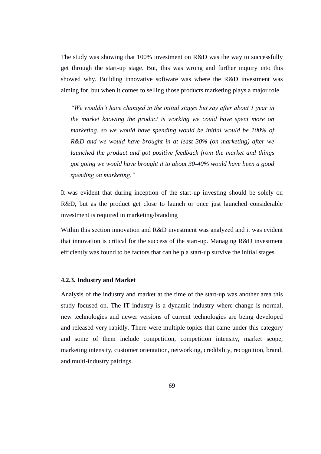The study was showing that 100% investment on R&D was the way to successfully get through the start-up stage. But, this was wrong and further inquiry into this showed why. Building innovative software was where the R&D investment was aiming for, but when it comes to selling those products marketing plays a major role.

*"We wouldn't have changed in the initial stages but say after about 1 year in the market knowing the product is working we could have spent more on marketing. so we would have spending would be initial would be 100% of R&D and we would have brought in at least 30% (on marketing) after we launched the product and got positive feedback from the market and things got going we would have brought it to about 30-40% would have been a good spending on marketing."*

It was evident that during inception of the start-up investing should be solely on R&D, but as the product get close to launch or once just launched considerable investment is required in marketing/branding

Within this section innovation and R&D investment was analyzed and it was evident that innovation is critical for the success of the start-up. Managing R&D investment efficiently was found to be factors that can help a start-up survive the initial stages.

### **4.2.3. Industry and Market**

Analysis of the industry and market at the time of the start-up was another area this study focused on. The IT industry is a dynamic industry where change is normal, new technologies and newer versions of current technologies are being developed and released very rapidly. There were multiple topics that came under this category and some of them include competition, competition intensity, market scope, marketing intensity, customer orientation, networking, credibility, recognition, brand, and multi-industry pairings.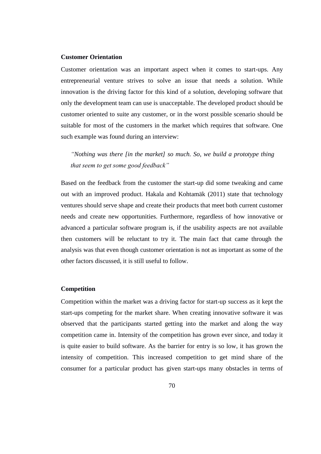# **Customer Orientation**

Customer orientation was an important aspect when it comes to start-ups. Any entrepreneurial venture strives to solve an issue that needs a solution. While innovation is the driving factor for this kind of a solution, developing software that only the development team can use is unacceptable. The developed product should be customer oriented to suite any customer, or in the worst possible scenario should be suitable for most of the customers in the market which requires that software. One such example was found during an interview:

*"Nothing was there [in the market] so much. So, we build a prototype thing that seem to get some good feedback"*

Based on the feedback from the customer the start-up did some tweaking and came out with an improved product. Hakala and Kohtamäk (2011) state that technology ventures should serve shape and create their products that meet both current customer needs and create new opportunities. Furthermore, regardless of how innovative or advanced a particular software program is, if the usability aspects are not available then customers will be reluctant to try it. The main fact that came through the analysis was that even though customer orientation is not as important as some of the other factors discussed, it is still useful to follow.

#### **Competition**

Competition within the market was a driving factor for start-up success as it kept the start-ups competing for the market share. When creating innovative software it was observed that the participants started getting into the market and along the way competition came in. Intensity of the competition has grown ever since, and today it is quite easier to build software. As the barrier for entry is so low, it has grown the intensity of competition. This increased competition to get mind share of the consumer for a particular product has given start-ups many obstacles in terms of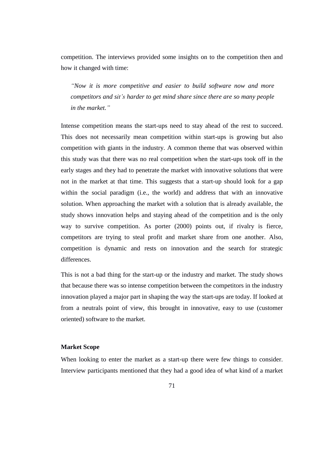competition. The interviews provided some insights on to the competition then and how it changed with time:

*"Now it is more competitive and easier to build software now and more competitors and sit's harder to get mind share since there are so many people in the market."*

Intense competition means the start-ups need to stay ahead of the rest to succeed. This does not necessarily mean competition within start-ups is growing but also competition with giants in the industry. A common theme that was observed within this study was that there was no real competition when the start-ups took off in the early stages and they had to penetrate the market with innovative solutions that were not in the market at that time. This suggests that a start-up should look for a gap within the social paradigm (i.e., the world) and address that with an innovative solution. When approaching the market with a solution that is already available, the study shows innovation helps and staying ahead of the competition and is the only way to survive competition. As porter (2000) points out, if rivalry is fierce, competitors are trying to steal profit and market share from one another. Also, competition is dynamic and rests on innovation and the search for strategic differences.

This is not a bad thing for the start-up or the industry and market. The study shows that because there was so intense competition between the competitors in the industry innovation played a major part in shaping the way the start-ups are today. If looked at from a neutrals point of view, this brought in innovative, easy to use (customer oriented) software to the market.

### **Market Scope**

When looking to enter the market as a start-up there were few things to consider. Interview participants mentioned that they had a good idea of what kind of a market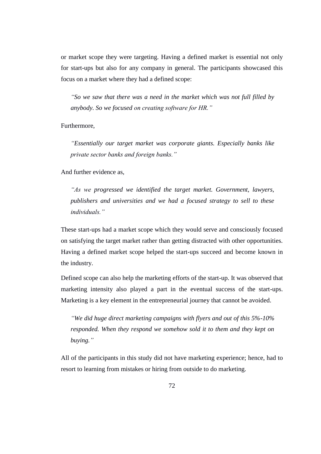or market scope they were targeting. Having a defined market is essential not only for start-ups but also for any company in general. The participants showcased this focus on a market where they had a defined scope:

*"So we saw that there was a need in the market which was not full filled by anybody. So we focused on creating software for HR."*

Furthermore,

*"Essentially our target market was corporate giants. Especially banks like private sector banks and foreign banks."*

And further evidence as,

*"As we progressed we identified the target market. Government, lawyers, publishers and universities and we had a focused strategy to sell to these individuals."*

These start-ups had a market scope which they would serve and consciously focused on satisfying the target market rather than getting distracted with other opportunities. Having a defined market scope helped the start-ups succeed and become known in the industry.

Defined scope can also help the marketing efforts of the start-up. It was observed that marketing intensity also played a part in the eventual success of the start-ups. Marketing is a key element in the entrepreneurial journey that cannot be avoided.

*"We did huge direct marketing campaigns with flyers and out of this 5%-10% responded. When they respond we somehow sold it to them and they kept on buying."*

All of the participants in this study did not have marketing experience; hence, had to resort to learning from mistakes or hiring from outside to do marketing.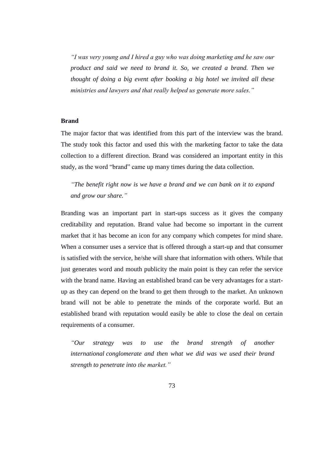*"I was very young and I hired a guy who was doing marketing and he saw our product and said we need to brand it. So, we created a brand. Then we thought of doing a big event after booking a big hotel we invited all these ministries and lawyers and that really helped us generate more sales."*

#### **Brand**

The major factor that was identified from this part of the interview was the brand. The study took this factor and used this with the marketing factor to take the data collection to a different direction. Brand was considered an important entity in this study, as the word "brand" came up many times during the data collection.

*"The benefit right now is we have a brand and we can bank on it to expand and grow our share."*

Branding was an important part in start-ups success as it gives the company creditability and reputation. Brand value had become so important in the current market that it has become an icon for any company which competes for mind share. When a consumer uses a service that is offered through a start-up and that consumer is satisfied with the service, he/she will share that information with others. While that just generates word and mouth publicity the main point is they can refer the service with the brand name. Having an established brand can be very advantages for a startup as they can depend on the brand to get them through to the market. An unknown brand will not be able to penetrate the minds of the corporate world. But an established brand with reputation would easily be able to close the deal on certain requirements of a consumer.

*"Our strategy was to use the brand strength of another international conglomerate and then what we did was we used their brand strength to penetrate into the market."*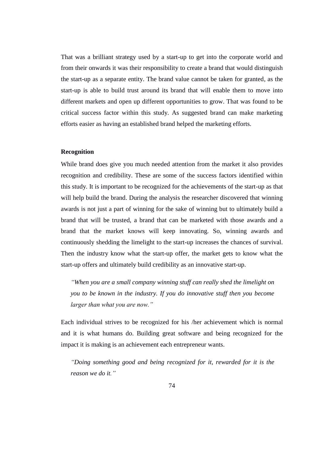That was a brilliant strategy used by a start-up to get into the corporate world and from their onwards it was their responsibility to create a brand that would distinguish the start-up as a separate entity. The brand value cannot be taken for granted, as the start-up is able to build trust around its brand that will enable them to move into different markets and open up different opportunities to grow. That was found to be critical success factor within this study. As suggested brand can make marketing efforts easier as having an established brand helped the marketing efforts.

## **Recognition**

While brand does give you much needed attention from the market it also provides recognition and credibility. These are some of the success factors identified within this study. It is important to be recognized for the achievements of the start-up as that will help build the brand. During the analysis the researcher discovered that winning awards is not just a part of winning for the sake of winning but to ultimately build a brand that will be trusted, a brand that can be marketed with those awards and a brand that the market knows will keep innovating. So, winning awards and continuously shedding the limelight to the start-up increases the chances of survival. Then the industry know what the start-up offer, the market gets to know what the start-up offers and ultimately build credibility as an innovative start-up.

*"When you are a small company winning stuff can really shed the limelight on you to be known in the industry. If you do innovative stuff then you become larger than what you are now."*

Each individual strives to be recognized for his /her achievement which is normal and it is what humans do. Building great software and being recognized for the impact it is making is an achievement each entrepreneur wants.

*"Doing something good and being recognized for it, rewarded for it is the reason we do it."*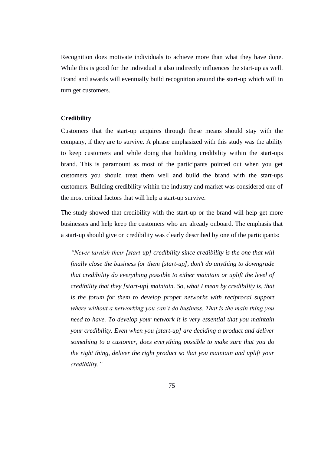Recognition does motivate individuals to achieve more than what they have done. While this is good for the individual it also indirectly influences the start-up as well. Brand and awards will eventually build recognition around the start-up which will in turn get customers.

### **Credibility**

Customers that the start-up acquires through these means should stay with the company, if they are to survive. A phrase emphasized with this study was the ability to keep customers and while doing that building credibility within the start-ups brand. This is paramount as most of the participants pointed out when you get customers you should treat them well and build the brand with the start-ups customers. Building credibility within the industry and market was considered one of the most critical factors that will help a start-up survive.

The study showed that credibility with the start-up or the brand will help get more businesses and help keep the customers who are already onboard. The emphasis that a start-up should give on credibility was clearly described by one of the participants:

*"Never tarnish their [start-up] credibility since credibility is the one that will finally close the business for them [start-up], don't do anything to downgrade that credibility do everything possible to either maintain or uplift the level of credibility that they [start-up] maintain. So, what I mean by credibility is, that*  is the forum for them to develop proper networks with reciprocal support *where without a networking you can't do business. That is the main thing you need to have. To develop your network it is very essential that you maintain your credibility. Even when you [start-up] are deciding a product and deliver something to a customer, does everything possible to make sure that you do the right thing, deliver the right product so that you maintain and uplift your credibility."*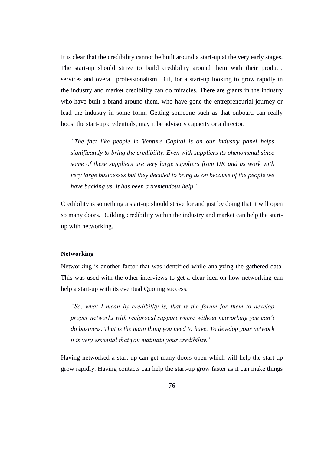It is clear that the credibility cannot be built around a start-up at the very early stages. The start-up should strive to build credibility around them with their product, services and overall professionalism. But, for a start-up looking to grow rapidly in the industry and market credibility can do miracles. There are giants in the industry who have built a brand around them, who have gone the entrepreneurial journey or lead the industry in some form. Getting someone such as that onboard can really boost the start-up credentials, may it be advisory capacity or a director.

*"The fact like people in Venture Capital is on our industry panel helps significantly to bring the credibility. Even with suppliers its phenomenal since some of these suppliers are very large suppliers from UK and us work with very large businesses but they decided to bring us on because of the people we have backing us. It has been a tremendous help."*

Credibility is something a start-up should strive for and just by doing that it will open so many doors. Building credibility within the industry and market can help the startup with networking.

#### **Networking**

Networking is another factor that was identified while analyzing the gathered data. This was used with the other interviews to get a clear idea on how networking can help a start-up with its eventual Quoting success.

*"So, what I mean by credibility is, that is the forum for them to develop proper networks with reciprocal support where without networking you can't do business. That is the main thing you need to have. To develop your network it is very essential that you maintain your credibility."*

Having networked a start-up can get many doors open which will help the start-up grow rapidly. Having contacts can help the start-up grow faster as it can make things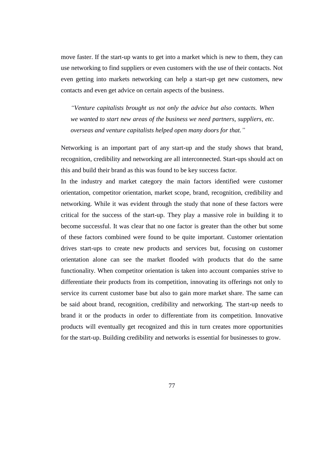move faster. If the start-up wants to get into a market which is new to them, they can use networking to find suppliers or even customers with the use of their contacts. Not even getting into markets networking can help a start-up get new customers, new contacts and even get advice on certain aspects of the business.

*"Venture capitalists brought us not only the advice but also contacts. When we wanted to start new areas of the business we need partners, suppliers, etc. overseas and venture capitalists helped open many doors for that."*

Networking is an important part of any start-up and the study shows that brand, recognition, credibility and networking are all interconnected. Start-ups should act on this and build their brand as this was found to be key success factor.

In the industry and market category the main factors identified were customer orientation, competitor orientation, market scope, brand, recognition, credibility and networking. While it was evident through the study that none of these factors were critical for the success of the start-up. They play a massive role in building it to become successful. It was clear that no one factor is greater than the other but some of these factors combined were found to be quite important. Customer orientation drives start-ups to create new products and services but, focusing on customer orientation alone can see the market flooded with products that do the same functionality. When competitor orientation is taken into account companies strive to differentiate their products from its competition, innovating its offerings not only to service its current customer base but also to gain more market share. The same can be said about brand, recognition, credibility and networking. The start-up needs to brand it or the products in order to differentiate from its competition. Innovative products will eventually get recognized and this in turn creates more opportunities for the start-up. Building credibility and networks is essential for businesses to grow.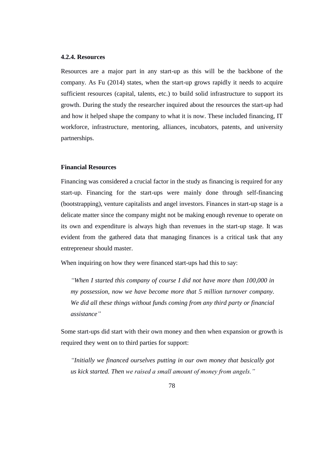# **4.2.4. Resources**

Resources are a major part in any start-up as this will be the backbone of the company. As Fu (2014) states, when the start-up grows rapidly it needs to acquire sufficient resources (capital, talents, etc.) to build solid infrastructure to support its growth. During the study the researcher inquired about the resources the start-up had and how it helped shape the company to what it is now. These included financing, IT workforce, infrastructure, mentoring, alliances, incubators, patents, and university partnerships.

### **Financial Resources**

Financing was considered a crucial factor in the study as financing is required for any start-up. Financing for the start-ups were mainly done through self-financing (bootstrapping), venture capitalists and angel investors. Finances in start-up stage is a delicate matter since the company might not be making enough revenue to operate on its own and expenditure is always high than revenues in the start-up stage. It was evident from the gathered data that managing finances is a critical task that any entrepreneur should master.

When inquiring on how they were financed start-ups had this to say:

*"When I started this company of course I did not have more than 100,000 in my possession, now we have become more that 5 million turnover company. We did all these things without funds coming from any third party or financial assistance"*

Some start-ups did start with their own money and then when expansion or growth is required they went on to third parties for support:

*"Initially we financed ourselves putting in our own money that basically got us kick started. Then we raised a small amount of money from angels."*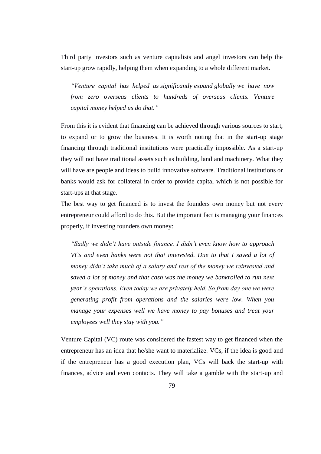Third party investors such as venture capitalists and angel investors can help the start-up grow rapidly, helping them when expanding to a whole different market.

*"Venture capital has helped us significantly expand globally we have now from zero overseas clients to hundreds of overseas clients. Venture capital money helped us do that."*

From this it is evident that financing can be achieved through various sources to start, to expand or to grow the business. It is worth noting that in the start-up stage financing through traditional institutions were practically impossible. As a start-up they will not have traditional assets such as building, land and machinery. What they will have are people and ideas to build innovative software. Traditional institutions or banks would ask for collateral in order to provide capital which is not possible for start-ups at that stage.

The best way to get financed is to invest the founders own money but not every entrepreneur could afford to do this. But the important fact is managing your finances properly, if investing founders own money:

*"Sadly we didn't have outside finance. I didn't even know how to approach VCs and even banks were not that interested. Due to that I saved a lot of money didn't take much of a salary and rest of the money we reinvested and saved a lot of money and that cash was the money we bankrolled to run next year's operations. Even today we are privately held. So from day one we were generating profit from operations and the salaries were low. When you manage your expenses well we have money to pay bonuses and treat your employees well they stay with you."*

Venture Capital (VC) route was considered the fastest way to get financed when the entrepreneur has an idea that he/she want to materialize. VCs, if the idea is good and if the entrepreneur has a good execution plan, VCs will back the start-up with finances, advice and even contacts. They will take a gamble with the start-up and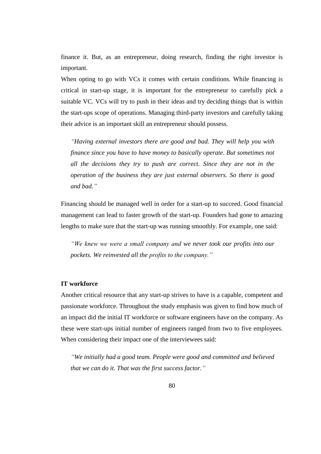finance it. But, as an entrepreneur, doing research, finding the right investor is important.

When opting to go with VCs it comes with certain conditions. While financing is critical in start-up stage, it is important for the entrepreneur to carefully pick a suitable VC. VCs will try to push in their ideas and try deciding things that is within the start-ups scope of operations. Managing third-party investors and carefully taking their advice is an important skill an entrepreneur should possess.

*"Having external investors there are good and bad. They will help you with finance since you have to have money to basically operate. But sometimes not all the decisions they try to push are correct. Since they are not in the operation of the business they are just external observers. So there is good and bad."*

Financing should be managed well in order for a start-up to succeed. Good financial management can lead to faster growth of the start-up. Founders had gone to amazing lengths to make sure that the start-up was running smoothly. For example, one said:

*"We knew we were a small company and we never took our profits into our pockets. We reinvested all the profits to the company."*

### **IT workforce**

Another critical resource that any start-up strives to have is a capable, competent and passionate workforce. Throughout the study emphasis was given to find how much of an impact did the initial IT workforce or software engineers have on the company. As these were start-ups initial number of engineers ranged from two to five employees. When considering their impact one of the interviewees said:

*"We initially had a good team. People were good and committed and believed that we can do it. That was the first success factor."*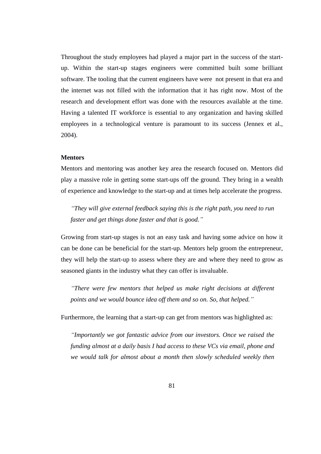Throughout the study employees had played a major part in the success of the startup. Within the start-up stages engineers were committed built some brilliant software. The tooling that the current engineers have were not present in that era and the internet was not filled with the information that it has right now. Most of the research and development effort was done with the resources available at the time. Having a talented IT workforce is essential to any organization and having skilled employees in a technological venture is paramount to its success (Jennex et al., 2004).

### **Mentors**

Mentors and mentoring was another key area the research focused on. Mentors did play a massive role in getting some start-ups off the ground. They bring in a wealth of experience and knowledge to the start-up and at times help accelerate the progress.

*"They will give external feedback saying this is the right path, you need to run faster and get things done faster and that is good."*

Growing from start-up stages is not an easy task and having some advice on how it can be done can be beneficial for the start-up. Mentors help groom the entrepreneur, they will help the start-up to assess where they are and where they need to grow as seasoned giants in the industry what they can offer is invaluable.

*"There were few mentors that helped us make right decisions at different points and we would bounce idea off them and so on. So, that helped."*

Furthermore, the learning that a start-up can get from mentors was highlighted as:

*"Importantly we got fantastic advice from our investors. Once we raised the funding almost at a daily basis I had access to these VCs via email, phone and we would talk for almost about a month then slowly scheduled weekly then*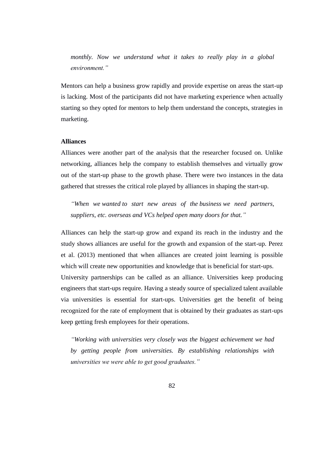*monthly. Now we understand what it takes to really play in a global environment."*

Mentors can help a business grow rapidly and provide expertise on areas the start-up is lacking. Most of the participants did not have marketing experience when actually starting so they opted for mentors to help them understand the concepts, strategies in marketing.

### **Alliances**

Alliances were another part of the analysis that the researcher focused on. Unlike networking, alliances help the company to establish themselves and virtually grow out of the start-up phase to the growth phase. There were two instances in the data gathered that stresses the critical role played by alliances in shaping the start-up.

*"When we wanted to start new areas of the business we need partners, suppliers, etc. overseas and VCs helped open many doors for that."*

Alliances can help the start-up grow and expand its reach in the industry and the study shows alliances are useful for the growth and expansion of the start-up. Perez et al. (2013) mentioned that when alliances are created joint learning is possible which will create new opportunities and knowledge that is beneficial for start-ups. University partnerships can be called as an alliance. Universities keep producing engineers that start-ups require. Having a steady source of specialized talent available via universities is essential for start-ups. Universities get the benefit of being recognized for the rate of employment that is obtained by their graduates as start-ups keep getting fresh employees for their operations.

*"Working with universities very closely was the biggest achievement we had by getting people from universities. By establishing relationships with universities we were able to get good graduates."*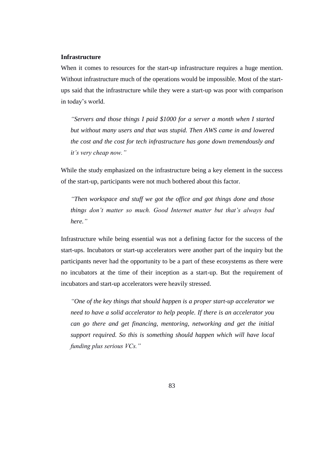# **Infrastructure**

When it comes to resources for the start-up infrastructure requires a huge mention. Without infrastructure much of the operations would be impossible. Most of the startups said that the infrastructure while they were a start-up was poor with comparison in today"s world.

*"Servers and those things I paid \$1000 for a server a month when I started but without many users and that was stupid. Then AWS came in and lowered the cost and the cost for tech infrastructure has gone down tremendously and it's very cheap now."*

While the study emphasized on the infrastructure being a key element in the success of the start-up, participants were not much bothered about this factor.

*"Then workspace and stuff we got the office and got things done and those things don't matter so much. Good Internet matter but that's always bad here."*

Infrastructure while being essential was not a defining factor for the success of the start-ups. Incubators or start-up accelerators were another part of the inquiry but the participants never had the opportunity to be a part of these ecosystems as there were no incubators at the time of their inception as a start-up. But the requirement of incubators and start-up accelerators were heavily stressed.

*"One of the key things that should happen is a proper start-up accelerator we need to have a solid accelerator to help people. If there is an accelerator you can go there and get financing, mentoring, networking and get the initial support required. So this is something should happen which will have local funding plus serious VCs."*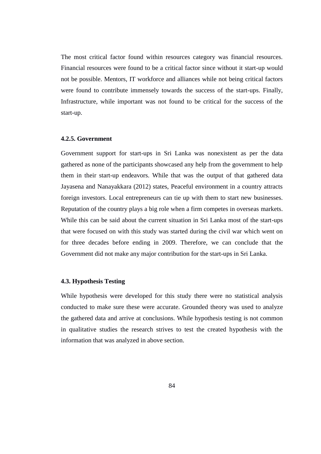The most critical factor found within resources category was financial resources. Financial resources were found to be a critical factor since without it start-up would not be possible. Mentors, IT workforce and alliances while not being critical factors were found to contribute immensely towards the success of the start-ups. Finally, Infrastructure, while important was not found to be critical for the success of the start-up.

# **4.2.5. Government**

Government support for start-ups in Sri Lanka was nonexistent as per the data gathered as none of the participants showcased any help from the government to help them in their start-up endeavors. While that was the output of that gathered data Jayasena and Nanayakkara (2012) states, Peaceful environment in a country attracts foreign investors. Local entrepreneurs can tie up with them to start new businesses. Reputation of the country plays a big role when a firm competes in overseas markets. While this can be said about the current situation in Sri Lanka most of the start-ups that were focused on with this study was started during the civil war which went on for three decades before ending in 2009. Therefore, we can conclude that the Government did not make any major contribution for the start-ups in Sri Lanka.

### **4.3. Hypothesis Testing**

While hypothesis were developed for this study there were no statistical analysis conducted to make sure these were accurate. Grounded theory was used to analyze the gathered data and arrive at conclusions. While hypothesis testing is not common in qualitative studies the research strives to test the created hypothesis with the information that was analyzed in above section.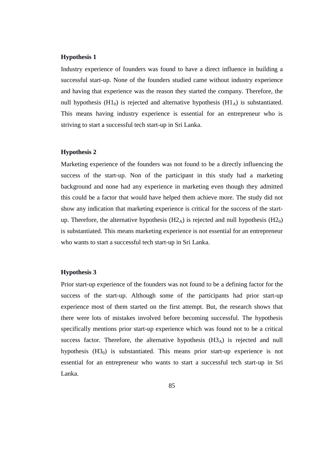Industry experience of founders was found to have a direct influence in building a successful start-up. None of the founders studied came without industry experience and having that experience was the reason they started the company. Therefore, the null hypothesis (H1<sub>0</sub>) is rejected and alternative hypothesis (H1<sub>A</sub>) is substantiated. This means having industry experience is essential for an entrepreneur who is striving to start a successful tech start-up in Sri Lanka.

# **Hypothesis 2**

Marketing experience of the founders was not found to be a directly influencing the success of the start-up. Non of the participant in this study had a marketing background and none had any experience in marketing even though they admitted this could be a factor that would have helped them achieve more. The study did not show any indication that marketing experience is critical for the success of the startup. Therefore, the alternative hypothesis  $(H2_A)$  is rejected and null hypothesis  $(H2_0)$ is substantiated. This means marketing experience is not essential for an entrepreneur who wants to start a successful tech start-up in Sri Lanka.

#### **Hypothesis 3**

Prior start-up experience of the founders was not found to be a defining factor for the success of the start-up. Although some of the participants had prior start-up experience most of them started on the first attempt. But, the research shows that there were lots of mistakes involved before becoming successful. The hypothesis specifically mentions prior start-up experience which was found not to be a critical success factor. Therefore, the alternative hypothesis  $(H3_A)$  is rejected and null hypothesis  $(H3<sub>0</sub>)$  is substantiated. This means prior start-up experience is not essential for an entrepreneur who wants to start a successful tech start-up in Sri Lanka.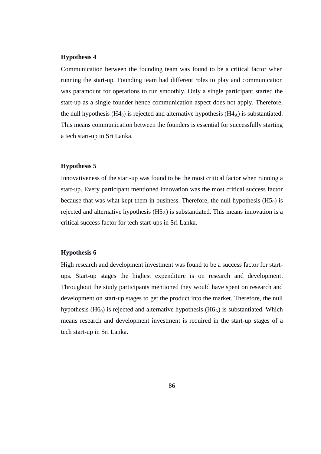Communication between the founding team was found to be a critical factor when running the start-up. Founding team had different roles to play and communication was paramount for operations to run smoothly. Only a single participant started the start-up as a single founder hence communication aspect does not apply. Therefore, the null hypothesis (H4 $_0$ ) is rejected and alternative hypothesis (H4 $_A$ ) is substantiated. This means communication between the founders is essential for successfully starting a tech start-up in Sri Lanka.

### **Hypothesis 5**

Innovativeness of the start-up was found to be the most critical factor when running a start-up. Every participant mentioned innovation was the most critical success factor because that was what kept them in business. Therefore, the null hypothesis  $(H5<sub>0</sub>)$  is rejected and alternative hypothesis  $(H5_A)$  is substantiated. This means innovation is a critical success factor for tech start-ups in Sri Lanka.

### **Hypothesis 6**

High research and development investment was found to be a success factor for startups. Start-up stages the highest expenditure is on research and development. Throughout the study participants mentioned they would have spent on research and development on start-up stages to get the product into the market. Therefore, the null hypothesis (H6<sub>0</sub>) is rejected and alternative hypothesis (H6<sub>A</sub>) is substantiated. Which means research and development investment is required in the start-up stages of a tech start-up in Sri Lanka.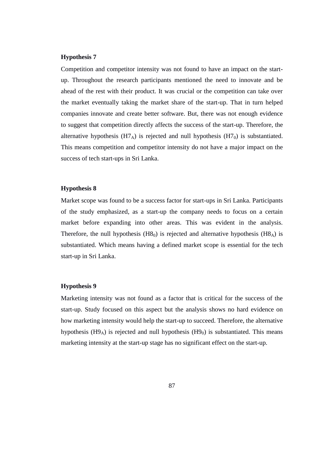Competition and competitor intensity was not found to have an impact on the startup. Throughout the research participants mentioned the need to innovate and be ahead of the rest with their product. It was crucial or the competition can take over the market eventually taking the market share of the start-up. That in turn helped companies innovate and create better software. But, there was not enough evidence to suggest that competition directly affects the success of the start-up. Therefore, the alternative hypothesis  $(H7_A)$  is rejected and null hypothesis  $(H7_0)$  is substantiated. This means competition and competitor intensity do not have a major impact on the success of tech start-ups in Sri Lanka.

### **Hypothesis 8**

Market scope was found to be a success factor for start-ups in Sri Lanka. Participants of the study emphasized, as a start-up the company needs to focus on a certain market before expanding into other areas. This was evident in the analysis. Therefore, the null hypothesis  $(H8_0)$  is rejected and alternative hypothesis  $(H8_A)$  is substantiated. Which means having a defined market scope is essential for the tech start-up in Sri Lanka.

# **Hypothesis 9**

Marketing intensity was not found as a factor that is critical for the success of the start-up. Study focused on this aspect but the analysis shows no hard evidence on how marketing intensity would help the start-up to succeed. Therefore, the alternative hypothesis  $(H9_A)$  is rejected and null hypothesis  $(H9_0)$  is substantiated. This means marketing intensity at the start-up stage has no significant effect on the start-up.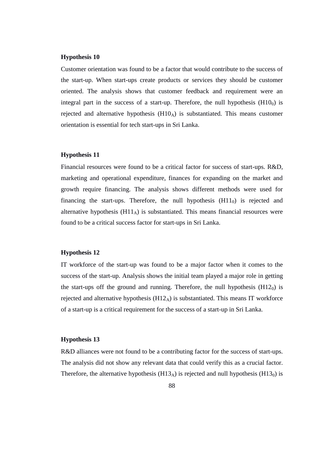Customer orientation was found to be a factor that would contribute to the success of the start-up. When start-ups create products or services they should be customer oriented. The analysis shows that customer feedback and requirement were an integral part in the success of a start-up. Therefore, the null hypothesis  $(H10<sub>0</sub>)$  is rejected and alternative hypothesis  $(H10_A)$  is substantiated. This means customer orientation is essential for tech start-ups in Sri Lanka.

#### **Hypothesis 11**

Financial resources were found to be a critical factor for success of start-ups. R&D, marketing and operational expenditure, finances for expanding on the market and growth require financing. The analysis shows different methods were used for financing the start-ups. Therefore, the null hypothesis  $(H11<sub>0</sub>)$  is rejected and alternative hypothesis  $(H11_A)$  is substantiated. This means financial resources were found to be a critical success factor for start-ups in Sri Lanka.

#### **Hypothesis 12**

IT workforce of the start-up was found to be a major factor when it comes to the success of the start-up. Analysis shows the initial team played a major role in getting the start-ups off the ground and running. Therefore, the null hypothesis  $(H12<sub>0</sub>)$  is rejected and alternative hypothesis  $(H12_A)$  is substantiated. This means IT workforce of a start-up is a critical requirement for the success of a start-up in Sri Lanka.

### **Hypothesis 13**

R&D alliances were not found to be a contributing factor for the success of start-ups. The analysis did not show any relevant data that could verify this as a crucial factor. Therefore, the alternative hypothesis  $(H13_A)$  is rejected and null hypothesis  $(H13_0)$  is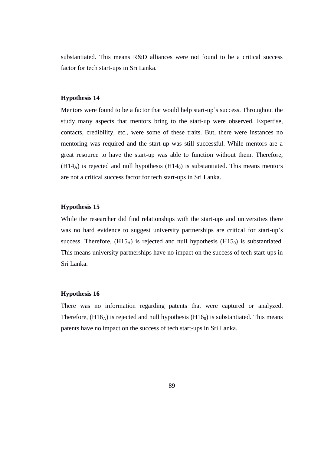substantiated. This means R&D alliances were not found to be a critical success factor for tech start-ups in Sri Lanka.

### **Hypothesis 14**

Mentors were found to be a factor that would help start-up"s success. Throughout the study many aspects that mentors bring to the start-up were observed. Expertise, contacts, credibility, etc., were some of these traits. But, there were instances no mentoring was required and the start-up was still successful. While mentors are a great resource to have the start-up was able to function without them. Therefore,  $(H14_A)$  is rejected and null hypothesis  $(H14_0)$  is substantiated. This means mentors are not a critical success factor for tech start-ups in Sri Lanka.

### **Hypothesis 15**

While the researcher did find relationships with the start-ups and universities there was no hard evidence to suggest university partnerships are critical for start-up's success. Therefore,  $(H15_A)$  is rejected and null hypothesis  $(H15_0)$  is substantiated. This means university partnerships have no impact on the success of tech start-ups in Sri Lanka.

### **Hypothesis 16**

There was no information regarding patents that were captured or analyzed. Therefore,  $(H16_A)$  is rejected and null hypothesis  $(H16_0)$  is substantiated. This means patents have no impact on the success of tech start-ups in Sri Lanka.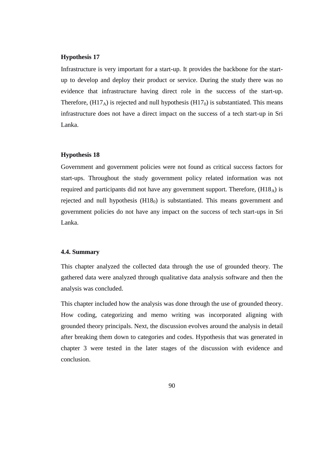Infrastructure is very important for a start-up. It provides the backbone for the startup to develop and deploy their product or service. During the study there was no evidence that infrastructure having direct role in the success of the start-up. Therefore,  $(H17_A)$  is rejected and null hypothesis  $(H17_0)$  is substantiated. This means infrastructure does not have a direct impact on the success of a tech start-up in Sri Lanka.

### **Hypothesis 18**

Government and government policies were not found as critical success factors for start-ups. Throughout the study government policy related information was not required and participants did not have any government support. Therefore,  $(H18_A)$  is rejected and null hypothesis  $(H18<sub>0</sub>)$  is substantiated. This means government and government policies do not have any impact on the success of tech start-ups in Sri Lanka.

## **4.4. Summary**

This chapter analyzed the collected data through the use of grounded theory. The gathered data were analyzed through qualitative data analysis software and then the analysis was concluded.

This chapter included how the analysis was done through the use of grounded theory. How coding, categorizing and memo writing was incorporated aligning with grounded theory principals. Next, the discussion evolves around the analysis in detail after breaking them down to categories and codes. Hypothesis that was generated in chapter 3 were tested in the later stages of the discussion with evidence and conclusion.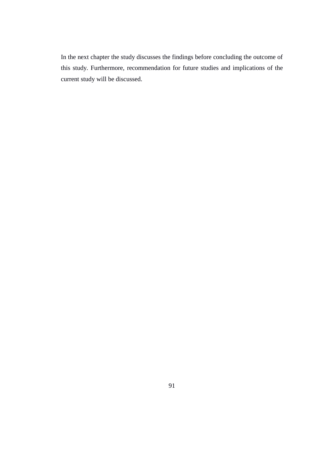In the next chapter the study discusses the findings before concluding the outcome of this study. Furthermore, recommendation for future studies and implications of the current study will be discussed.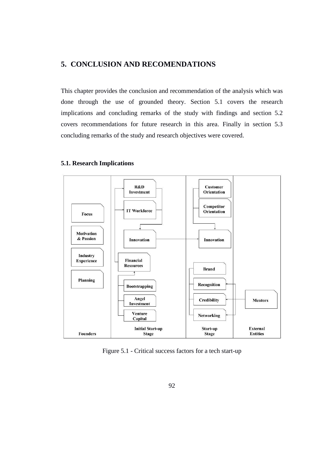# **5. CONCLUSION AND RECOMENDATIONS**

This chapter provides the conclusion and recommendation of the analysis which was done through the use of grounded theory. Section 5.1 covers the research implications and concluding remarks of the study with findings and section 5.2 covers recommendations for future research in this area. Finally in section 5.3 concluding remarks of the study and research objectives were covered.

# **5.1. Research Implications**



Figure 5.1 - Critical success factors for a tech start-up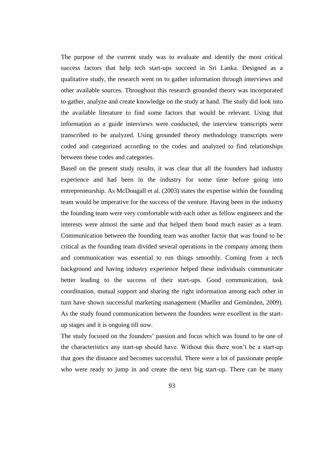The purpose of the current study was to evaluate and identify the most critical success factors that help tech start-ups succeed in Sri Lanka. Designed as a qualitative study, the research went on to gather information through interviews and other available sources. Throughout this research grounded theory was incorporated to gather, analyze and create knowledge on the study at hand. The study did look into the available literature to find some factors that would be relevant. Using that information as a guide interviews were conducted, the interview transcripts were transcribed to be analyzed. Using grounded theory methodology transcripts were coded and categorized according to the codes and analyzed to find relationships between these codes and categories.

Based on the present study results, it was clear that all the founders had industry experience and had been in the industry for some time before going into entrepreneurship. As McDougall et al. (2003) states the expertise within the founding team would be imperative for the success of the venture. Having been in the industry the founding team were very comfortable with each other as fellow engineers and the interests were almost the same and that helped them bond much easier as a team. Communication between the founding team was another factor that was found to be critical as the founding team divided several operations in the company among them and communication was essential to run things smoothly. Coming from a tech background and having industry experience helped these individuals communicate better leading to the success of their start-ups. Good communication, task coordination, mutual support and sharing the right information among each other in turn have shown successful marketing management (Mueller and Gemünden, 2009). As the study found communication between the founders were excellent in the startup stages and it is ongoing till now.

The study focused on the founders' passion and focus which was found to be one of the characteristics any start-up should have. Without this there won"t be a start-up that goes the distance and becomes successful. There were a lot of passionate people who were ready to jump in and create the next big start-up. There can be many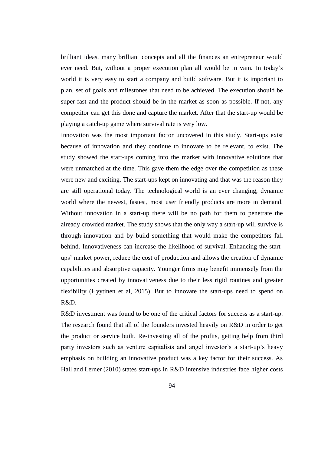brilliant ideas, many brilliant concepts and all the finances an entrepreneur would ever need. But, without a proper execution plan all would be in vain. In today"s world it is very easy to start a company and build software. But it is important to plan, set of goals and milestones that need to be achieved. The execution should be super-fast and the product should be in the market as soon as possible. If not, any competitor can get this done and capture the market. After that the start-up would be playing a catch-up game where survival rate is very low.

Innovation was the most important factor uncovered in this study. Start-ups exist because of innovation and they continue to innovate to be relevant, to exist. The study showed the start-ups coming into the market with innovative solutions that were unmatched at the time. This gave them the edge over the competition as these were new and exciting. The start-ups kept on innovating and that was the reason they are still operational today. The technological world is an ever changing, dynamic world where the newest, fastest, most user friendly products are more in demand. Without innovation in a start-up there will be no path for them to penetrate the already crowded market. The study shows that the only way a start-up will survive is through innovation and by build something that would make the competitors fall behind. Innovativeness can increase the likelihood of survival. Enhancing the startups" market power, reduce the cost of production and allows the creation of dynamic capabilities and absorptive capacity. Younger firms may benefit immensely from the opportunities created by innovativeness due to their less rigid routines and greater flexibility (Hyytinen et al, 2015). But to innovate the start-ups need to spend on R&D.

R&D investment was found to be one of the critical factors for success as a start-up. The research found that all of the founders invested heavily on R&D in order to get the product or service built. Re-investing all of the profits, getting help from third party investors such as venture capitalists and angel investor's a start-up's heavy emphasis on building an innovative product was a key factor for their success. As Hall and Lerner (2010) states start-ups in R&D intensive industries face higher costs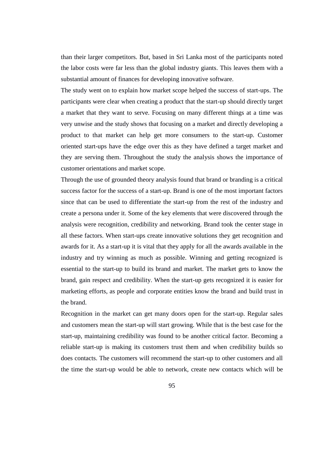than their larger competitors. But, based in Sri Lanka most of the participants noted the labor costs were far less than the global industry giants. This leaves them with a substantial amount of finances for developing innovative software.

The study went on to explain how market scope helped the success of start-ups. The participants were clear when creating a product that the start-up should directly target a market that they want to serve. Focusing on many different things at a time was very unwise and the study shows that focusing on a market and directly developing a product to that market can help get more consumers to the start-up. Customer oriented start-ups have the edge over this as they have defined a target market and they are serving them. Throughout the study the analysis shows the importance of customer orientations and market scope.

Through the use of grounded theory analysis found that brand or branding is a critical success factor for the success of a start-up. Brand is one of the most important factors since that can be used to differentiate the start-up from the rest of the industry and create a persona under it. Some of the key elements that were discovered through the analysis were recognition, credibility and networking. Brand took the center stage in all these factors. When start-ups create innovative solutions they get recognition and awards for it. As a start-up it is vital that they apply for all the awards available in the industry and try winning as much as possible. Winning and getting recognized is essential to the start-up to build its brand and market. The market gets to know the brand, gain respect and credibility. When the start-up gets recognized it is easier for marketing efforts, as people and corporate entities know the brand and build trust in the brand.

Recognition in the market can get many doors open for the start-up. Regular sales and customers mean the start-up will start growing. While that is the best case for the start-up, maintaining credibility was found to be another critical factor. Becoming a reliable start-up is making its customers trust them and when credibility builds so does contacts. The customers will recommend the start-up to other customers and all the time the start-up would be able to network, create new contacts which will be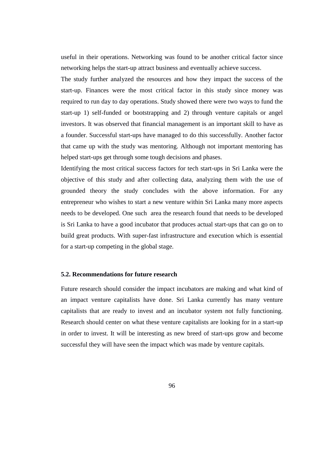useful in their operations. Networking was found to be another critical factor since networking helps the start-up attract business and eventually achieve success.

The study further analyzed the resources and how they impact the success of the start-up. Finances were the most critical factor in this study since money was required to run day to day operations. Study showed there were two ways to fund the start-up 1) self-funded or bootstrapping and 2) through venture capitals or angel investors. It was observed that financial management is an important skill to have as a founder. Successful start-ups have managed to do this successfully. Another factor that came up with the study was mentoring. Although not important mentoring has helped start-ups get through some tough decisions and phases.

Identifying the most critical success factors for tech start-ups in Sri Lanka were the objective of this study and after collecting data, analyzing them with the use of grounded theory the study concludes with the above information. For any entrepreneur who wishes to start a new venture within Sri Lanka many more aspects needs to be developed. One such area the research found that needs to be developed is Sri Lanka to have a good incubator that produces actual start-ups that can go on to build great products. With super-fast infrastructure and execution which is essential for a start-up competing in the global stage.

# **5.2. Recommendations for future research**

Future research should consider the impact incubators are making and what kind of an impact venture capitalists have done. Sri Lanka currently has many venture capitalists that are ready to invest and an incubator system not fully functioning. Research should center on what these venture capitalists are looking for in a start-up in order to invest. It will be interesting as new breed of start-ups grow and become successful they will have seen the impact which was made by venture capitals.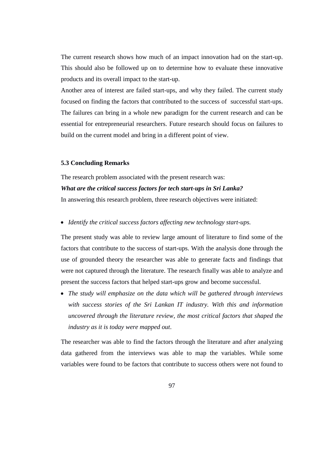The current research shows how much of an impact innovation had on the start-up. This should also be followed up on to determine how to evaluate these innovative products and its overall impact to the start-up.

Another area of interest are failed start-ups, and why they failed. The current study focused on finding the factors that contributed to the success of successful start-ups. The failures can bring in a whole new paradigm for the current research and can be essential for entrepreneurial researchers. Future research should focus on failures to build on the current model and bring in a different point of view.

#### **5.3 Concluding Remarks**

The research problem associated with the present research was:

## *What are the critical success factors for tech start-ups in Sri Lanka?*

In answering this research problem, three research objectives were initiated:

#### *Identify the critical success factors affecting new technology start-ups.*

The present study was able to review large amount of literature to find some of the factors that contribute to the success of start-ups. With the analysis done through the use of grounded theory the researcher was able to generate facts and findings that were not captured through the literature. The research finally was able to analyze and present the success factors that helped start-ups grow and become successful.

 *The study will emphasize on the data which will be gathered through interviews with success stories of the Sri Lankan IT industry. With this and information uncovered through the literature review, the most critical factors that shaped the industry as it is today were mapped out*.

The researcher was able to find the factors through the literature and after analyzing data gathered from the interviews was able to map the variables. While some variables were found to be factors that contribute to success others were not found to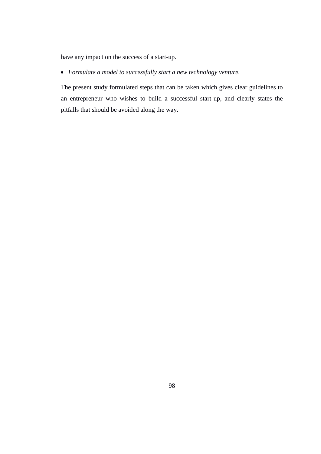have any impact on the success of a start-up.

*Formulate a model to successfully start a new technology venture.*

The present study formulated steps that can be taken which gives clear guidelines to an entrepreneur who wishes to build a successful start-up, and clearly states the pitfalls that should be avoided along the way.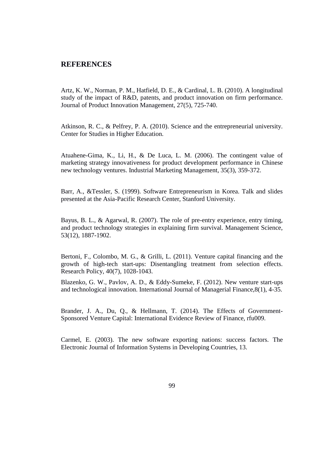# **REFERENCES**

Artz, K. W., Norman, P. M., Hatfield, D. E., & Cardinal, L. B. (2010). A longitudinal study of the impact of R&D, patents, and product innovation on firm performance. Journal of Product Innovation Management, 27(5), 725-740.

Atkinson, R. C., & Pelfrey, P. A. (2010). Science and the entrepreneurial university. Center for Studies in Higher Education.

Atuahene-Gima, K., Li, H., & De Luca, L. M. (2006). The contingent value of marketing strategy innovativeness for product development performance in Chinese new technology ventures. Industrial Marketing Management, 35(3), 359-372.

Barr, A., &Tessler, S. (1999). Software Entrepreneurism in Korea. Talk and slides presented at the Asia-Pacific Research Center, Stanford University.

Bayus, B. L., & Agarwal, R. (2007). The role of pre-entry experience, entry timing, and product technology strategies in explaining firm survival. Management Science, 53(12), 1887-1902.

Bertoni, F., Colombo, M. G., & Grilli, L. (2011). Venture capital financing and the growth of high-tech start-ups: Disentangling treatment from selection effects. Research Policy, 40(7), 1028-1043.

Blazenko, G. W., Pavlov, A. D., & Eddy-Sumeke, F. (2012). New venture start-ups and technological innovation. International Journal of Managerial Finance,8(1), 4-35.

Brander, J. A., Du, Q., & Hellmann, T. (2014). The Effects of Government-Sponsored Venture Capital: International Evidence Review of Finance, rfu009.

Carmel, E. (2003). The new software exporting nations: success factors. The Electronic Journal of Information Systems in Developing Countries, 13.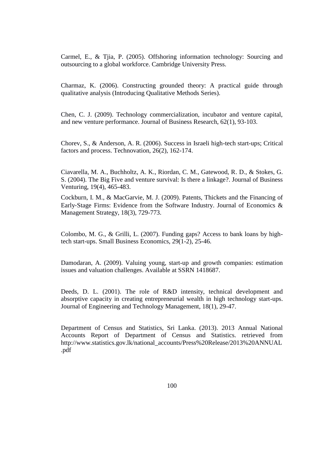Carmel, E., & Tjia, P. (2005). Offshoring information technology: Sourcing and outsourcing to a global workforce. Cambridge University Press.

Charmaz, K. (2006). Constructing grounded theory: A practical guide through qualitative analysis (Introducing Qualitative Methods Series).

Chen, C. J. (2009). Technology commercialization, incubator and venture capital, and new venture performance. Journal of Business Research, 62(1), 93-103.

Chorev, S., & Anderson, A. R. (2006). Success in Israeli high-tech start-ups; Critical factors and process. Technovation, 26(2), 162-174.

Ciavarella, M. A., Buchholtz, A. K., Riordan, C. M., Gatewood, R. D., & Stokes, G. S. (2004). The Big Five and venture survival: Is there a linkage?. Journal of Business Venturing, 19(4), 465-483.

Cockburn, I. M., & MacGarvie, M. J. (2009). Patents, Thickets and the Financing of Early-Stage Firms: Evidence from the Software Industry. Journal of Economics  $\&$ Management Strategy, 18(3), 729-773.

Colombo, M. G., & Grilli, L. (2007). Funding gaps? Access to bank loans by hightech start-ups. Small Business Economics, 29(1-2), 25-46.

Damodaran, A. (2009). Valuing young, start-up and growth companies: estimation issues and valuation challenges. Available at SSRN 1418687.

Deeds, D. L. (2001). The role of R&D intensity, technical development and absorptive capacity in creating entrepreneurial wealth in high technology start-ups. Journal of Engineering and Technology Management, 18(1), 29-47.

Department of Census and Statistics, Sri Lanka. (2013). 2013 Annual National Accounts Report of Department of Census and Statistics. retrieved from http://www.statistics.gov.lk/national\_accounts/Press%20Release/2013%20ANNUAL .pdf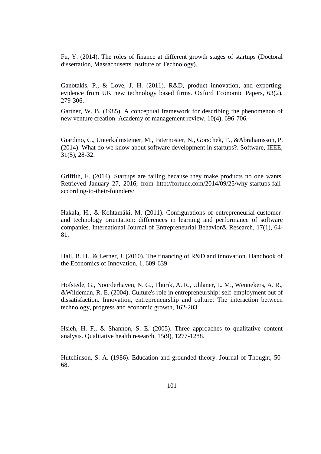Fu, Y. (2014). The roles of finance at different growth stages of startups (Doctoral dissertation, Massachusetts Institute of Technology).

Ganotakis, P., & Love, J. H. (2011). R&D, product innovation, and exporting: evidence from UK new technology based firms. Oxford Economic Papers, 63(2), 279-306.

Gartner, W. B. (1985). A conceptual framework for describing the phenomenon of new venture creation. Academy of management review, 10(4), 696-706.

Giardino, C., Unterkalmsteiner, M., Paternoster, N., Gorschek, T., &Abrahamsson, P. (2014). What do we know about software development in startups?. Software, IEEE, 31(5), 28-32.

Griffith, E. (2014). Startups are failing because they make products no one wants. Retrieved January 27, 2016, from http://fortune.com/2014/09/25/why-startups-failaccording-to-their-founders/

Hakala, H., & Kohtamäki, M. (2011). Configurations of entrepreneurial-customerand technology orientation: differences in learning and performance of software companies. International Journal of Entrepreneurial Behavior& Research, 17(1), 64- 81.

Hall, B. H., & Lerner, J. (2010). The financing of R&D and innovation. Handbook of the Economics of Innovation, 1, 609-639.

Hofstede, G., Noorderhaven, N. G., Thurik, A. R., Uhlaner, L. M., Wennekers, A. R., &Wildeman, R. E. (2004). Culture's role in entrepreneurship: self-employment out of dissatisfaction. Innovation, entrepreneurship and culture: The interaction between technology, progress and economic growth, 162-203.

Hsieh, H. F., & Shannon, S. E. (2005). Three approaches to qualitative content analysis. Qualitative health research, 15(9), 1277-1288.

Hutchinson, S. A. (1986). Education and grounded theory. Journal of Thought, 50- 68.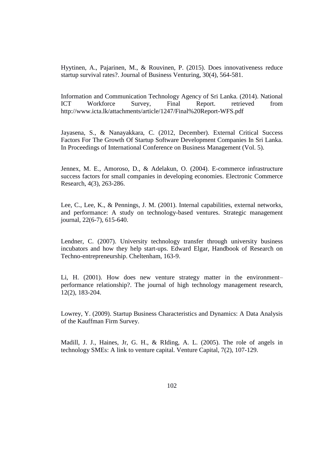Hyytinen, A., Pajarinen, M., & Rouvinen, P. (2015). Does innovativeness reduce startup survival rates?. Journal of Business Venturing, 30(4), 564-581.

Information and Communication Technology Agency of Sri Lanka. (2014). National ICT Workforce Survey, Final Report. retrieved from http://www.icta.lk/attachments/article/1247/Final%20Report-WFS.pdf

Jayasena, S., & Nanayakkara, C. (2012, December). External Critical Success Factors For The Growth Of Startup Software Development Companies In Sri Lanka. In Proceedings of International Conference on Business Management (Vol. 5).

Jennex, M. E., Amoroso, D., & Adelakun, O. (2004). E-commerce infrastructure success factors for small companies in developing economies. Electronic Commerce Research, 4(3), 263-286.

Lee, C., Lee, K., & Pennings, J. M. (2001). Internal capabilities, external networks, and performance: A study on technology-based ventures. Strategic management journal, 22(6-7), 615-640.

Lendner, C. (2007). University technology transfer through university business incubators and how they help start-ups. Edward Elgar, Handbook of Research on Techno-entrepreneurship. Cheltenham, 163-9.

Li, H. (2001). How does new venture strategy matter in the environment– performance relationship?. The journal of high technology management research, 12(2), 183-204.

Lowrey, Y. (2009). Startup Business Characteristics and Dynamics: A Data Analysis of the Kauffman Firm Survey.

Madill, J. J., Haines, Jr, G. H., & RIding, A. L. (2005). The role of angels in technology SMEs: A link to venture capital. Venture Capital, 7(2), 107-129.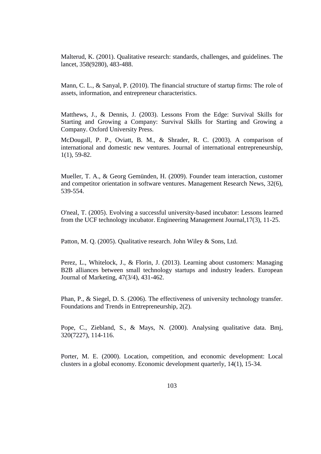Malterud, K. (2001). Qualitative research: standards, challenges, and guidelines. The lancet, 358(9280), 483-488.

Mann, C. L., & Sanyal, P. (2010). The financial structure of startup firms: The role of assets, information, and entrepreneur characteristics.

Matthews, J., & Dennis, J. (2003). Lessons From the Edge: Survival Skills for Starting and Growing a Company: Survival Skills for Starting and Growing a Company. Oxford University Press.

McDougall, P. P., Oviatt, B. M., & Shrader, R. C. (2003). A comparison of international and domestic new ventures. Journal of international entrepreneurship, 1(1), 59-82.

Mueller, T. A., & Georg Gemünden, H. (2009). Founder team interaction, customer and competitor orientation in software ventures. Management Research News, 32(6), 539-554.

O'neal, T. (2005). Evolving a successful university-based incubator: Lessons learned from the UCF technology incubator. Engineering Management Journal,17(3), 11-25.

Patton, M. Q. (2005). Qualitative research. John Wiley & Sons, Ltd.

Perez, L., Whitelock, J., & Florin, J. (2013). Learning about customers: Managing B2B alliances between small technology startups and industry leaders. European Journal of Marketing, 47(3/4), 431-462.

Phan, P., & Siegel, D. S. (2006). The effectiveness of university technology transfer. Foundations and Trends in Entrepreneurship, 2(2).

Pope, C., Ziebland, S., & Mays, N. (2000). Analysing qualitative data. Bmj, 320(7227), 114-116.

Porter, M. E. (2000). Location, competition, and economic development: Local clusters in a global economy. Economic development quarterly, 14(1), 15-34.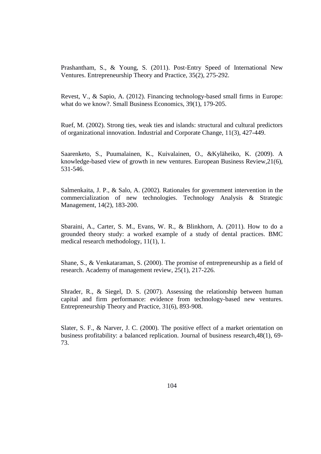Prashantham, S., & Young, S. (2011). Post‐Entry Speed of International New Ventures. Entrepreneurship Theory and Practice, 35(2), 275-292.

Revest, V., & Sapio, A. (2012). Financing technology-based small firms in Europe: what do we know?. Small Business Economics, 39(1), 179-205.

Ruef, M. (2002). Strong ties, weak ties and islands: structural and cultural predictors of organizational innovation. Industrial and Corporate Change, 11(3), 427-449.

Saarenketo, S., Puumalainen, K., Kuivalainen, O., &Kyläheiko, K. (2009). A knowledge-based view of growth in new ventures. European Business Review,21(6), 531-546.

Salmenkaita, J. P., & Salo, A. (2002). Rationales for government intervention in the commercialization of new technologies. Technology Analysis & Strategic Management, 14(2), 183-200.

Sbaraini, A., Carter, S. M., Evans, W. R., & Blinkhorn, A. (2011). How to do a grounded theory study: a worked example of a study of dental practices. BMC medical research methodology, 11(1), 1.

Shane, S., & Venkataraman, S. (2000). The promise of entrepreneurship as a field of research. Academy of management review, 25(1), 217-226.

Shrader, R., & Siegel, D. S. (2007). Assessing the relationship between human capital and firm performance: evidence from technology‐based new ventures. Entrepreneurship Theory and Practice, 31(6), 893-908.

Slater, S. F., & Narver, J. C. (2000). The positive effect of a market orientation on business profitability: a balanced replication. Journal of business research,48(1), 69- 73.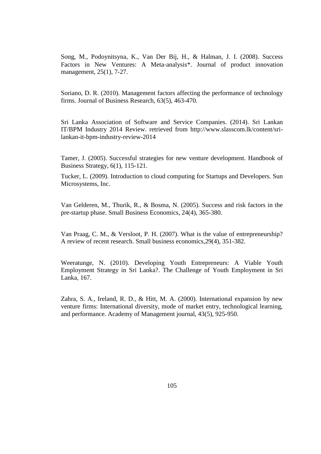Song, M., Podoynitsyna, K., Van Der Bij, H., & Halman, J. I. (2008). Success Factors in New Ventures: A Meta-analysis<sup>\*</sup>. Journal of product innovation management, 25(1), 7-27.

Soriano, D. R. (2010). Management factors affecting the performance of technology firms. Journal of Business Research, 63(5), 463-470.

Sri Lanka Association of Software and Service Companies. (2014). Sri Lankan IT/BPM Industry 2014 Review. retrieved from http://www.slasscom.lk/content/srilankan-it-bpm-industry-review-2014

Tamer, J. (2005). Successful strategies for new venture development. Handbook of Business Strategy, 6(1), 115-121.

Tucker, L. (2009). Introduction to cloud computing for Startups and Developers. Sun Microsystems, Inc.

Van Gelderen, M., Thurik, R., & Bosma, N. (2005). Success and risk factors in the pre-startup phase. Small Business Economics, 24(4), 365-380.

Van Praag, C. M., & Versloot, P. H. (2007). What is the value of entrepreneurship? A review of recent research. Small business economics,29(4), 351-382.

Weeratunge, N. (2010). Developing Youth Entrepreneurs: A Viable Youth Employment Strategy in Sri Lanka?. The Challenge of Youth Employment in Sri Lanka, 167.

Zahra, S. A., Ireland, R. D., & Hitt, M. A. (2000). International expansion by new venture firms: International diversity, mode of market entry, technological learning, and performance. Academy of Management journal, 43(5), 925-950.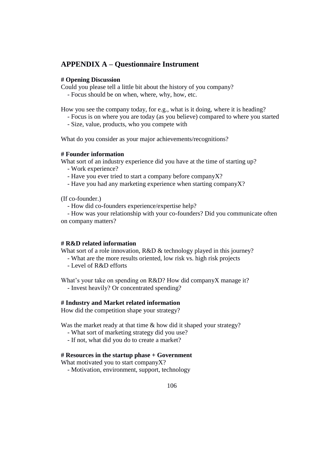# **APPENDIX A – Questionnaire Instrument**

## **# Opening Discussion**

Could you please tell a little bit about the history of you company?

- Focus should be on when, where, why, how, etc.

How you see the company today, for e.g., what is it doing, where it is heading?

- Focus is on where you are today (as you believe) compared to where you started
- Size, value, products, who you compete with

What do you consider as your major achievements/recognitions?

## **# Founder information**

What sort of an industry experience did you have at the time of starting up?

- Work experience?
- Have you ever tried to start a company before companyX?
- Have you had any marketing experience when starting companyX?

(If co-founder.)

- How did co-founders experience/expertise help?

 - How was your relationship with your co-founders? Did you communicate often on company matters?

#### **# R&D related information**

What sort of a role innovation, R&D & technology played in this journey?

- What are the more results oriented, low risk vs. high risk projects
- Level of R&D efforts

What's your take on spending on R&D? How did companyX manage it? - Invest heavily? Or concentrated spending?

## **# Industry and Market related information**

How did the competition shape your strategy?

Was the market ready at that time & how did it shaped your strategy?

- What sort of marketing strategy did you use?
- If not, what did you do to create a market?

## **# Resources in the startup phase + Government**

What motivated you to start companyX?

- Motivation, environment, support, technology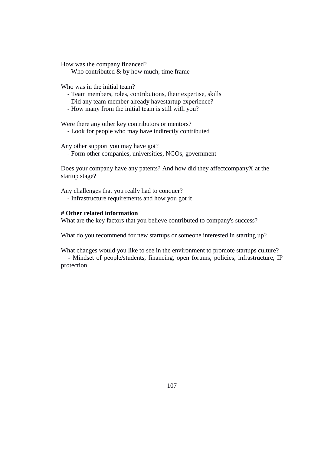How was the company financed?

- Who contributed & by how much, time frame

Who was in the initial team?

- Team members, roles, contributions, their expertise, skills
- Did any team member already havestartup experience?
- How many from the initial team is still with you?

Were there any other key contributors or mentors?

- Look for people who may have indirectly contributed

Any other support you may have got?

- Form other companies, universities, NGOs, government

Does your company have any patents? And how did they affectcompanyX at the startup stage?

Any challenges that you really had to conquer? - Infrastructure requirements and how you got it

#### **# Other related information**

What are the key factors that you believe contributed to company's success?

What do you recommend for new startups or someone interested in starting up?

What changes would you like to see in the environment to promote startups culture?

 - Mindset of people/students, financing, open forums, policies, infrastructure, IP protection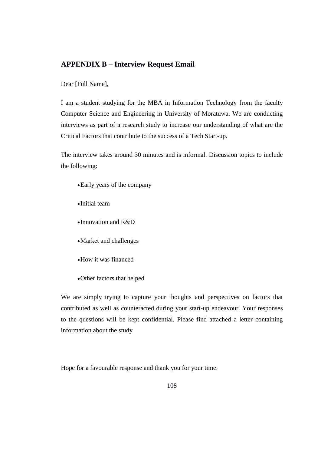# **APPENDIX B – Interview Request Email**

Dear [Full Name],

I am a student studying for the MBA in Information Technology from the faculty Computer Science and Engineering in University of Moratuwa. We are conducting interviews as part of a research study to increase our understanding of what are the Critical Factors that contribute to the success of a Tech Start-up.

The interview takes around 30 minutes and is informal. Discussion topics to include the following:

- Early years of the company
- Initial team
- Innovation and R&D
- Market and challenges
- How it was financed
- Other factors that helped

We are simply trying to capture your thoughts and perspectives on factors that contributed as well as counteracted during your start-up endeavour. Your responses to the questions will be kept confidential. Please find attached a letter containing information about the study

Hope for a favourable response and thank you for your time.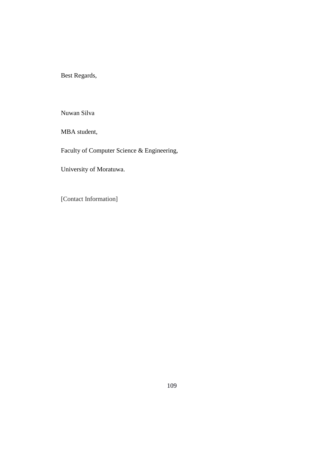Best Regards,

Nuwan Silva

MBA student,

Faculty of Computer Science & Engineering,

University of Moratuwa.

[Contact Information]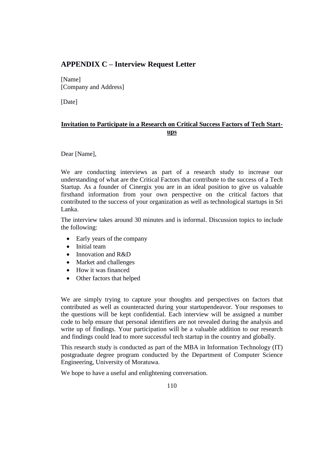# **APPENDIX C – Interview Request Letter**

[Name] [Company and Address]

[Date]

# **Invitation to Participate in a Research on Critical Success Factors of Tech Startups**

Dear [Name],

We are conducting interviews as part of a research study to increase our understanding of what are the Critical Factors that contribute to the success of a Tech Startup. As a founder of Cinergix you are in an ideal position to give us valuable firsthand information from your own perspective on the critical factors that contributed to the success of your organization as well as technological startups in Sri Lanka.

The interview takes around 30 minutes and is informal. Discussion topics to include the following:

- Early years of the company
- Initial team
- Innovation and R&D
- Market and challenges
- How it was financed
- Other factors that helped

We are simply trying to capture your thoughts and perspectives on factors that contributed as well as counteracted during your startupendeavor. Your responses to the questions will be kept confidential. Each interview will be assigned a number code to help ensure that personal identifiers are not revealed during the analysis and write up of findings. Your participation will be a valuable addition to our research and findings could lead to more successful tech startup in the country and globally.

This research study is conducted as part of the MBA in Information Technology (IT) postgraduate degree program conducted by the Department of Computer Science Engineering, University of Moratuwa.

We hope to have a useful and enlightening conversation.